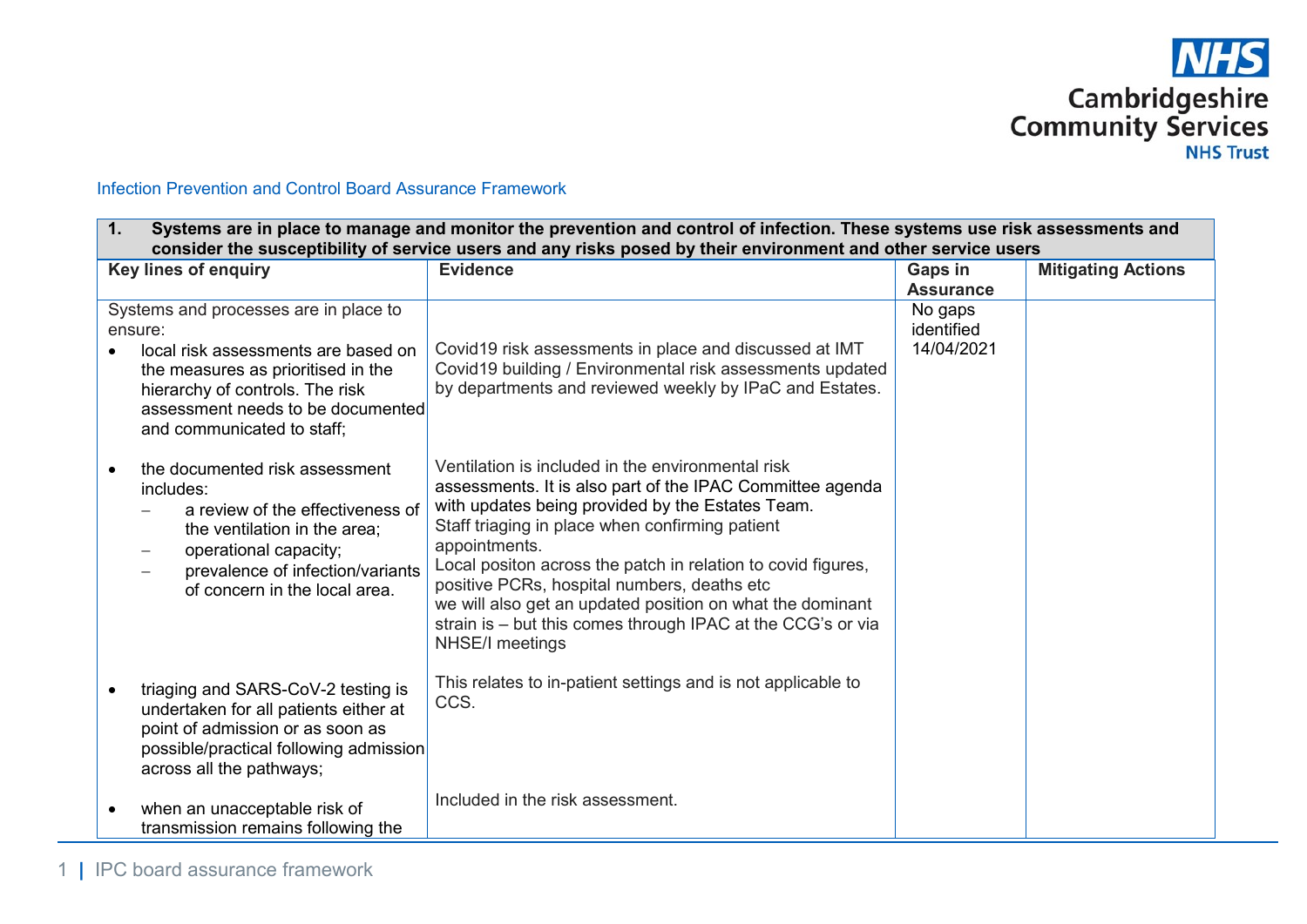

## Infection Prevention and Control Board Assurance Framework

| 1.        | Systems are in place to manage and monitor the prevention and control of infection. These systems use risk assessments and<br>consider the susceptibility of service users and any risks posed by their environment and other service users |                                                                                                                                                                                                                                                                                                                                                                                                                                                                                                      |                                     |                           |  |
|-----------|---------------------------------------------------------------------------------------------------------------------------------------------------------------------------------------------------------------------------------------------|------------------------------------------------------------------------------------------------------------------------------------------------------------------------------------------------------------------------------------------------------------------------------------------------------------------------------------------------------------------------------------------------------------------------------------------------------------------------------------------------------|-------------------------------------|---------------------------|--|
|           | Key lines of enquiry                                                                                                                                                                                                                        | <b>Evidence</b>                                                                                                                                                                                                                                                                                                                                                                                                                                                                                      | <b>Gaps in</b><br><b>Assurance</b>  | <b>Mitigating Actions</b> |  |
|           | Systems and processes are in place to<br>ensure:<br>local risk assessments are based on<br>the measures as prioritised in the<br>hierarchy of controls. The risk<br>assessment needs to be documented<br>and communicated to staff;         | Covid19 risk assessments in place and discussed at IMT<br>Covid19 building / Environmental risk assessments updated<br>by departments and reviewed weekly by IPaC and Estates.                                                                                                                                                                                                                                                                                                                       | No gaps<br>identified<br>14/04/2021 |                           |  |
|           | the documented risk assessment<br>includes:<br>a review of the effectiveness of<br>the ventilation in the area;<br>operational capacity;<br>prevalence of infection/variants<br>of concern in the local area.                               | Ventilation is included in the environmental risk<br>assessments. It is also part of the IPAC Committee agenda<br>with updates being provided by the Estates Team.<br>Staff triaging in place when confirming patient<br>appointments.<br>Local positon across the patch in relation to covid figures,<br>positive PCRs, hospital numbers, deaths etc<br>we will also get an updated position on what the dominant<br>strain is - but this comes through IPAC at the CCG's or via<br>NHSE/I meetings |                                     |                           |  |
| $\bullet$ | triaging and SARS-CoV-2 testing is<br>undertaken for all patients either at<br>point of admission or as soon as<br>possible/practical following admission<br>across all the pathways;                                                       | This relates to in-patient settings and is not applicable to<br>CCS.                                                                                                                                                                                                                                                                                                                                                                                                                                 |                                     |                           |  |
| $\bullet$ | when an unacceptable risk of<br>transmission remains following the                                                                                                                                                                          | Included in the risk assessment.                                                                                                                                                                                                                                                                                                                                                                                                                                                                     |                                     |                           |  |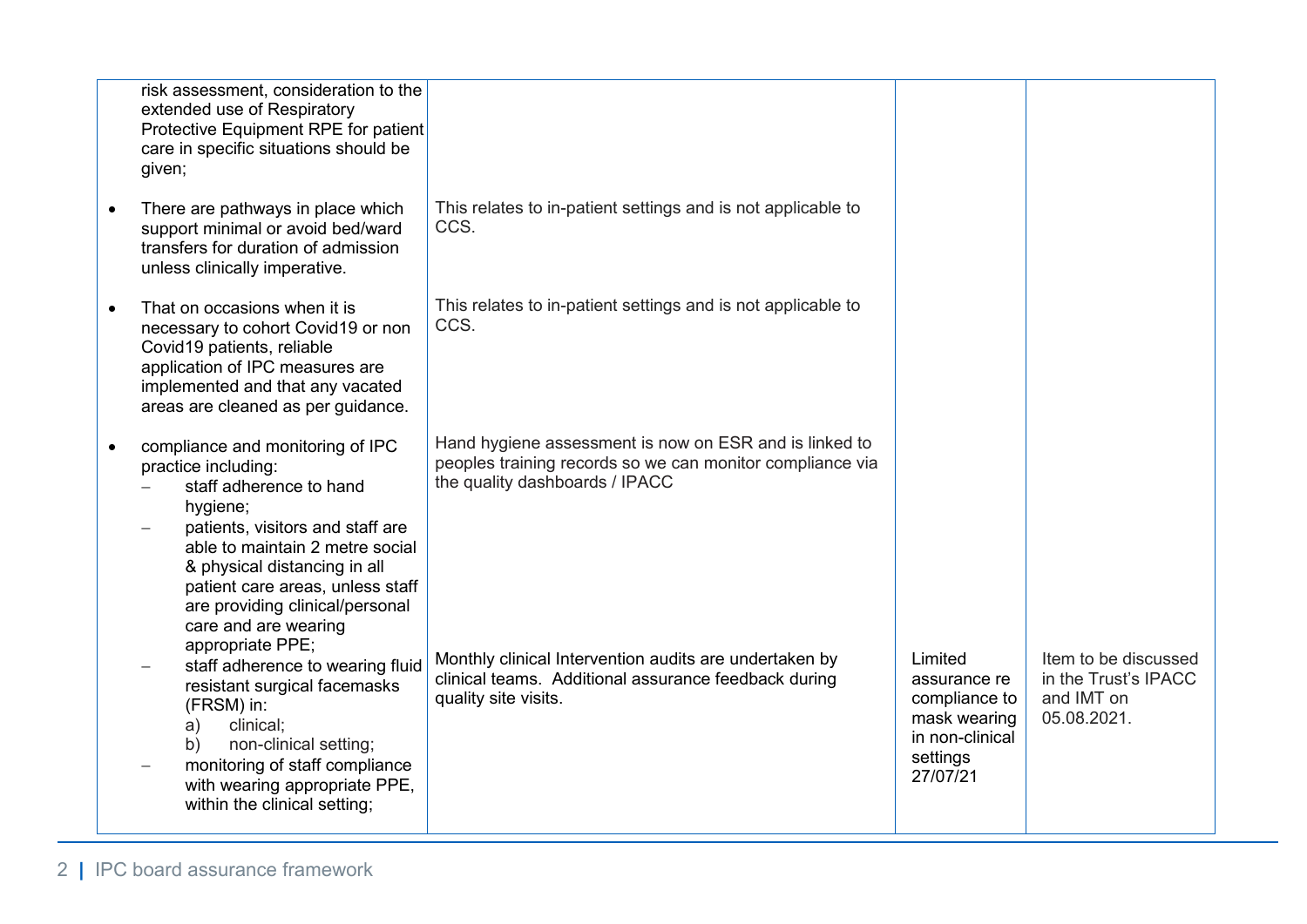| risk assessment, consideration to the<br>extended use of Respiratory<br>Protective Equipment RPE for patient<br>care in specific situations should be<br>given;                                                                                                                                      |                                                                                                                                                       |                                                                                                     |                                                                           |
|------------------------------------------------------------------------------------------------------------------------------------------------------------------------------------------------------------------------------------------------------------------------------------------------------|-------------------------------------------------------------------------------------------------------------------------------------------------------|-----------------------------------------------------------------------------------------------------|---------------------------------------------------------------------------|
| There are pathways in place which<br>support minimal or avoid bed/ward<br>transfers for duration of admission<br>unless clinically imperative.                                                                                                                                                       | This relates to in-patient settings and is not applicable to<br>CCS.                                                                                  |                                                                                                     |                                                                           |
| That on occasions when it is<br>necessary to cohort Covid19 or non<br>Covid19 patients, reliable<br>application of IPC measures are<br>implemented and that any vacated<br>areas are cleaned as per guidance.                                                                                        | This relates to in-patient settings and is not applicable to<br>CCS.                                                                                  |                                                                                                     |                                                                           |
| compliance and monitoring of IPC<br>practice including:<br>staff adherence to hand<br>hygiene;<br>patients, visitors and staff are<br>able to maintain 2 metre social<br>& physical distancing in all<br>patient care areas, unless staff<br>are providing clinical/personal<br>care and are wearing | Hand hygiene assessment is now on ESR and is linked to<br>peoples training records so we can monitor compliance via<br>the quality dashboards / IPACC |                                                                                                     |                                                                           |
| appropriate PPE;<br>staff adherence to wearing fluid<br>resistant surgical facemasks<br>(FRSM) in:<br>clinical;<br>a)<br>non-clinical setting;<br>b)<br>monitoring of staff compliance<br>with wearing appropriate PPE,<br>within the clinical setting;                                              | Monthly clinical Intervention audits are undertaken by<br>clinical teams. Additional assurance feedback during<br>quality site visits.                | Limited<br>assurance re<br>compliance to<br>mask wearing<br>in non-clinical<br>settings<br>27/07/21 | Item to be discussed<br>in the Trust's IPACC<br>and IMT on<br>05.08.2021. |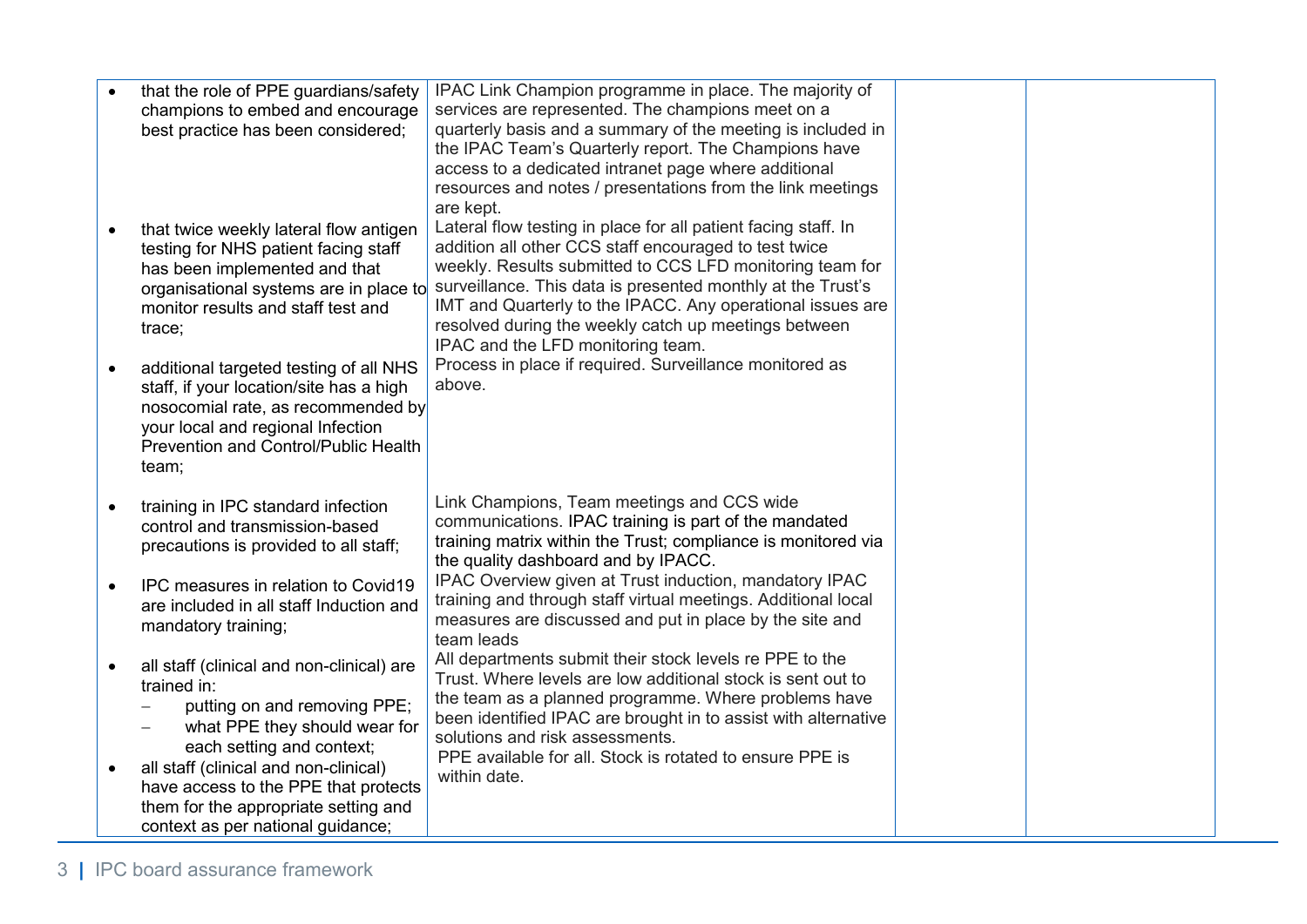|           | that the role of PPE guardians/safety                    | IPAC Link Champion programme in place. The majority of                                                                  |  |
|-----------|----------------------------------------------------------|-------------------------------------------------------------------------------------------------------------------------|--|
|           | champions to embed and encourage                         | services are represented. The champions meet on a                                                                       |  |
|           | best practice has been considered;                       | quarterly basis and a summary of the meeting is included in                                                             |  |
|           |                                                          | the IPAC Team's Quarterly report. The Champions have                                                                    |  |
|           |                                                          | access to a dedicated intranet page where additional                                                                    |  |
|           |                                                          | resources and notes / presentations from the link meetings                                                              |  |
|           |                                                          | are kept.                                                                                                               |  |
|           | that twice weekly lateral flow antigen                   | Lateral flow testing in place for all patient facing staff. In                                                          |  |
|           | testing for NHS patient facing staff                     | addition all other CCS staff encouraged to test twice                                                                   |  |
|           | has been implemented and that                            | weekly. Results submitted to CCS LFD monitoring team for                                                                |  |
|           | organisational systems are in place to                   | surveillance. This data is presented monthly at the Trust's                                                             |  |
|           | monitor results and staff test and                       | IMT and Quarterly to the IPACC. Any operational issues are<br>resolved during the weekly catch up meetings between      |  |
|           | trace;                                                   | IPAC and the LFD monitoring team.                                                                                       |  |
|           | additional targeted testing of all NHS                   | Process in place if required. Surveillance monitored as                                                                 |  |
|           | staff, if your location/site has a high                  | above.                                                                                                                  |  |
|           | nosocomial rate, as recommended by                       |                                                                                                                         |  |
|           | your local and regional Infection                        |                                                                                                                         |  |
|           | Prevention and Control/Public Health                     |                                                                                                                         |  |
|           | team;                                                    |                                                                                                                         |  |
|           |                                                          |                                                                                                                         |  |
|           | training in IPC standard infection                       | Link Champions, Team meetings and CCS wide                                                                              |  |
|           | control and transmission-based                           | communications. IPAC training is part of the mandated                                                                   |  |
|           | precautions is provided to all staff;                    | training matrix within the Trust; compliance is monitored via                                                           |  |
|           |                                                          | the quality dashboard and by IPACC.                                                                                     |  |
| $\bullet$ | IPC measures in relation to Covid19                      | IPAC Overview given at Trust induction, mandatory IPAC<br>training and through staff virtual meetings. Additional local |  |
|           | are included in all staff Induction and                  | measures are discussed and put in place by the site and                                                                 |  |
|           | mandatory training;                                      | team leads                                                                                                              |  |
|           |                                                          | All departments submit their stock levels re PPE to the                                                                 |  |
|           | all staff (clinical and non-clinical) are<br>trained in: | Trust. Where levels are low additional stock is sent out to                                                             |  |
|           | putting on and removing PPE;                             | the team as a planned programme. Where problems have                                                                    |  |
|           | what PPE they should wear for                            | been identified IPAC are brought in to assist with alternative                                                          |  |
|           | each setting and context;                                | solutions and risk assessments.                                                                                         |  |
| $\bullet$ | all staff (clinical and non-clinical)                    | PPE available for all. Stock is rotated to ensure PPE is                                                                |  |
|           | have access to the PPE that protects                     | within date.                                                                                                            |  |
|           | them for the appropriate setting and                     |                                                                                                                         |  |
|           | context as per national guidance;                        |                                                                                                                         |  |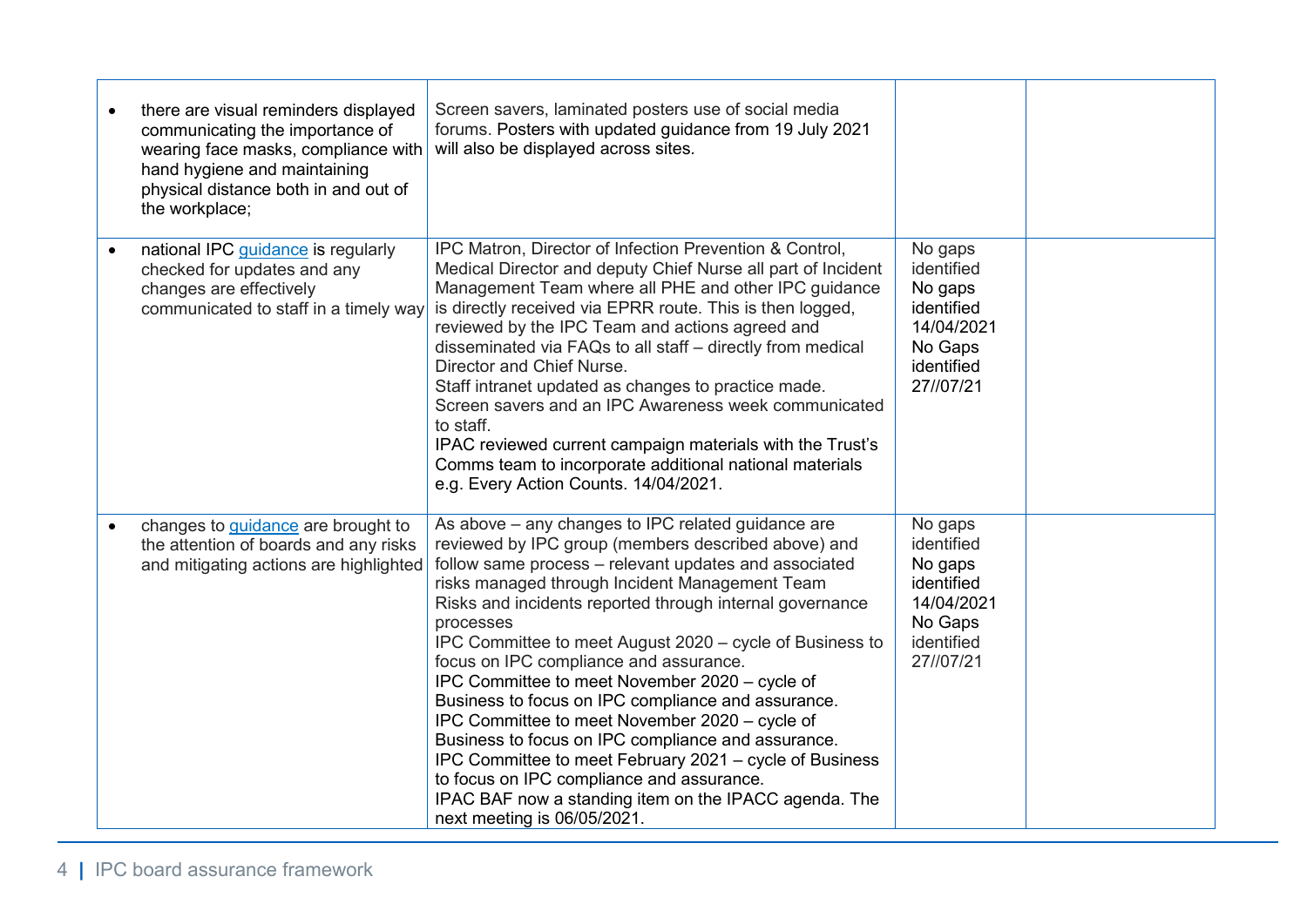| there are visual reminders displayed<br>communicating the importance of<br>wearing face masks, compliance with<br>hand hygiene and maintaining<br>physical distance both in and out of<br>the workplace; | Screen savers, laminated posters use of social media<br>forums. Posters with updated guidance from 19 July 2021<br>will also be displayed across sites.                                                                                                                                                                                                                                                                                                                                                                                                                                                                                                                                                                                                                                                             |                                                                                                    |  |
|----------------------------------------------------------------------------------------------------------------------------------------------------------------------------------------------------------|---------------------------------------------------------------------------------------------------------------------------------------------------------------------------------------------------------------------------------------------------------------------------------------------------------------------------------------------------------------------------------------------------------------------------------------------------------------------------------------------------------------------------------------------------------------------------------------------------------------------------------------------------------------------------------------------------------------------------------------------------------------------------------------------------------------------|----------------------------------------------------------------------------------------------------|--|
| national IPC guidance is regularly<br>checked for updates and any<br>changes are effectively<br>communicated to staff in a timely way                                                                    | IPC Matron, Director of Infection Prevention & Control,<br>Medical Director and deputy Chief Nurse all part of Incident<br>Management Team where all PHE and other IPC guidance<br>is directly received via EPRR route. This is then logged,<br>reviewed by the IPC Team and actions agreed and<br>disseminated via FAQs to all staff - directly from medical<br>Director and Chief Nurse.<br>Staff intranet updated as changes to practice made.<br>Screen savers and an IPC Awareness week communicated<br>to staff.<br>IPAC reviewed current campaign materials with the Trust's<br>Comms team to incorporate additional national materials<br>e.g. Every Action Counts. 14/04/2021.                                                                                                                             | No gaps<br>identified<br>No gaps<br>identified<br>14/04/2021<br>No Gaps<br>identified<br>27//07/21 |  |
| changes to guidance are brought to<br>the attention of boards and any risks<br>and mitigating actions are highlighted                                                                                    | As above - any changes to IPC related guidance are<br>reviewed by IPC group (members described above) and<br>follow same process - relevant updates and associated<br>risks managed through Incident Management Team<br>Risks and incidents reported through internal governance<br>processes<br>IPC Committee to meet August 2020 – cycle of Business to<br>focus on IPC compliance and assurance.<br>IPC Committee to meet November 2020 – cycle of<br>Business to focus on IPC compliance and assurance.<br>IPC Committee to meet November 2020 – cycle of<br>Business to focus on IPC compliance and assurance.<br>IPC Committee to meet February 2021 - cycle of Business<br>to focus on IPC compliance and assurance.<br>IPAC BAF now a standing item on the IPACC agenda. The<br>next meeting is 06/05/2021. | No gaps<br>identified<br>No gaps<br>identified<br>14/04/2021<br>No Gaps<br>identified<br>27//07/21 |  |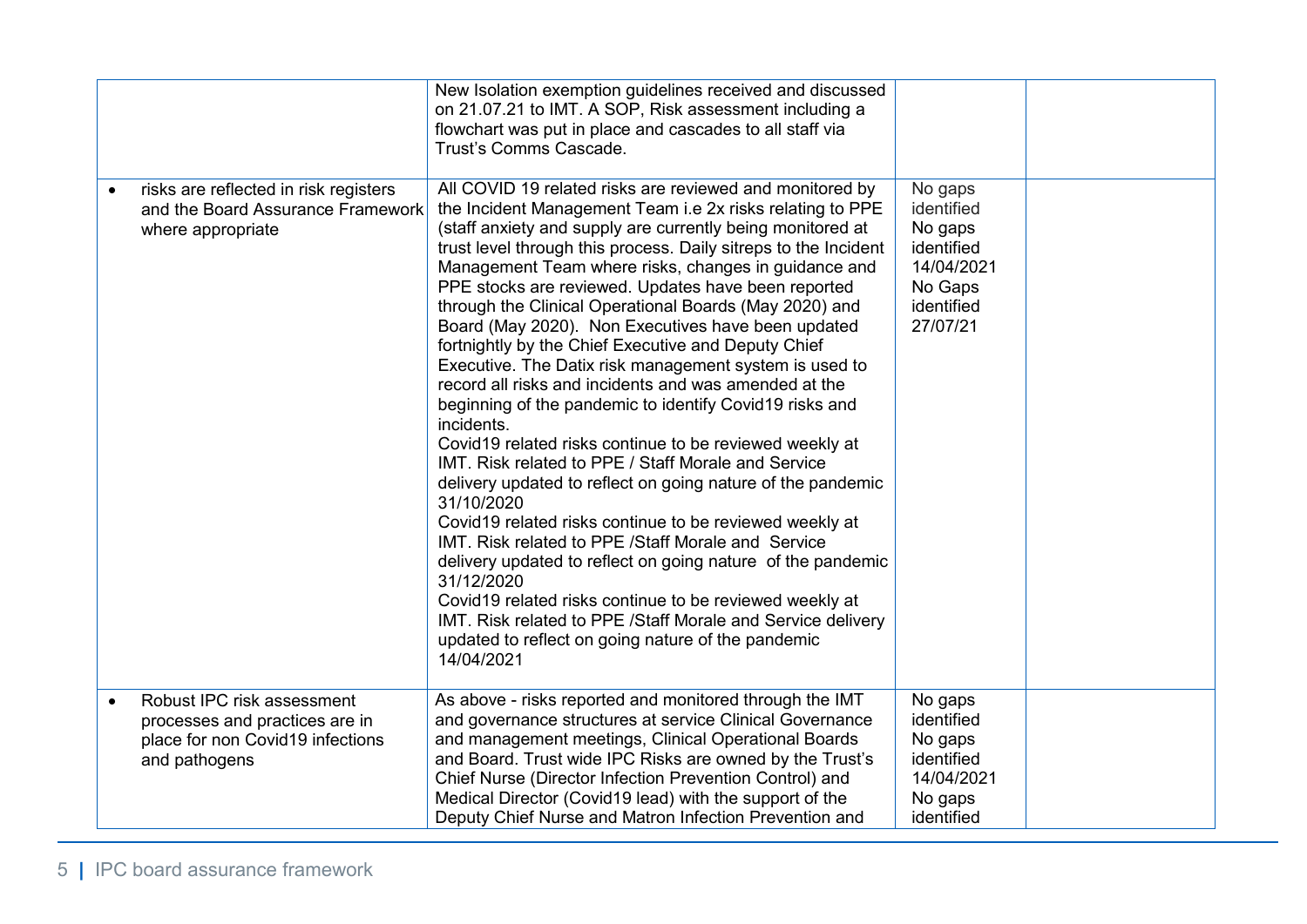|                                                                                                                   | New Isolation exemption guidelines received and discussed<br>on 21.07.21 to IMT. A SOP, Risk assessment including a<br>flowchart was put in place and cascades to all staff via<br>Trust's Comms Cascade.                                                                                                                                                                                                                                                                                                                                                                                                                                                                                                                                                                                                                                                                                                                                                                                                                                                                                                                                                                                                                                                                                                                             |                                                                                                   |  |
|-------------------------------------------------------------------------------------------------------------------|---------------------------------------------------------------------------------------------------------------------------------------------------------------------------------------------------------------------------------------------------------------------------------------------------------------------------------------------------------------------------------------------------------------------------------------------------------------------------------------------------------------------------------------------------------------------------------------------------------------------------------------------------------------------------------------------------------------------------------------------------------------------------------------------------------------------------------------------------------------------------------------------------------------------------------------------------------------------------------------------------------------------------------------------------------------------------------------------------------------------------------------------------------------------------------------------------------------------------------------------------------------------------------------------------------------------------------------|---------------------------------------------------------------------------------------------------|--|
| risks are reflected in risk registers<br>and the Board Assurance Framework<br>where appropriate                   | All COVID 19 related risks are reviewed and monitored by<br>the Incident Management Team i.e 2x risks relating to PPE<br>(staff anxiety and supply are currently being monitored at<br>trust level through this process. Daily sitreps to the Incident<br>Management Team where risks, changes in guidance and<br>PPE stocks are reviewed. Updates have been reported<br>through the Clinical Operational Boards (May 2020) and<br>Board (May 2020). Non Executives have been updated<br>fortnightly by the Chief Executive and Deputy Chief<br>Executive. The Datix risk management system is used to<br>record all risks and incidents and was amended at the<br>beginning of the pandemic to identify Covid19 risks and<br>incidents.<br>Covid19 related risks continue to be reviewed weekly at<br>IMT. Risk related to PPE / Staff Morale and Service<br>delivery updated to reflect on going nature of the pandemic<br>31/10/2020<br>Covid19 related risks continue to be reviewed weekly at<br>IMT. Risk related to PPE / Staff Morale and Service<br>delivery updated to reflect on going nature of the pandemic<br>31/12/2020<br>Covid19 related risks continue to be reviewed weekly at<br>IMT. Risk related to PPE / Staff Morale and Service delivery<br>updated to reflect on going nature of the pandemic<br>14/04/2021 | No gaps<br>identified<br>No gaps<br>identified<br>14/04/2021<br>No Gaps<br>identified<br>27/07/21 |  |
| Robust IPC risk assessment<br>processes and practices are in<br>place for non Covid19 infections<br>and pathogens | As above - risks reported and monitored through the IMT<br>and governance structures at service Clinical Governance<br>and management meetings, Clinical Operational Boards<br>and Board. Trust wide IPC Risks are owned by the Trust's<br>Chief Nurse (Director Infection Prevention Control) and<br>Medical Director (Covid19 lead) with the support of the<br>Deputy Chief Nurse and Matron Infection Prevention and                                                                                                                                                                                                                                                                                                                                                                                                                                                                                                                                                                                                                                                                                                                                                                                                                                                                                                               | No gaps<br>identified<br>No gaps<br>identified<br>14/04/2021<br>No gaps<br>identified             |  |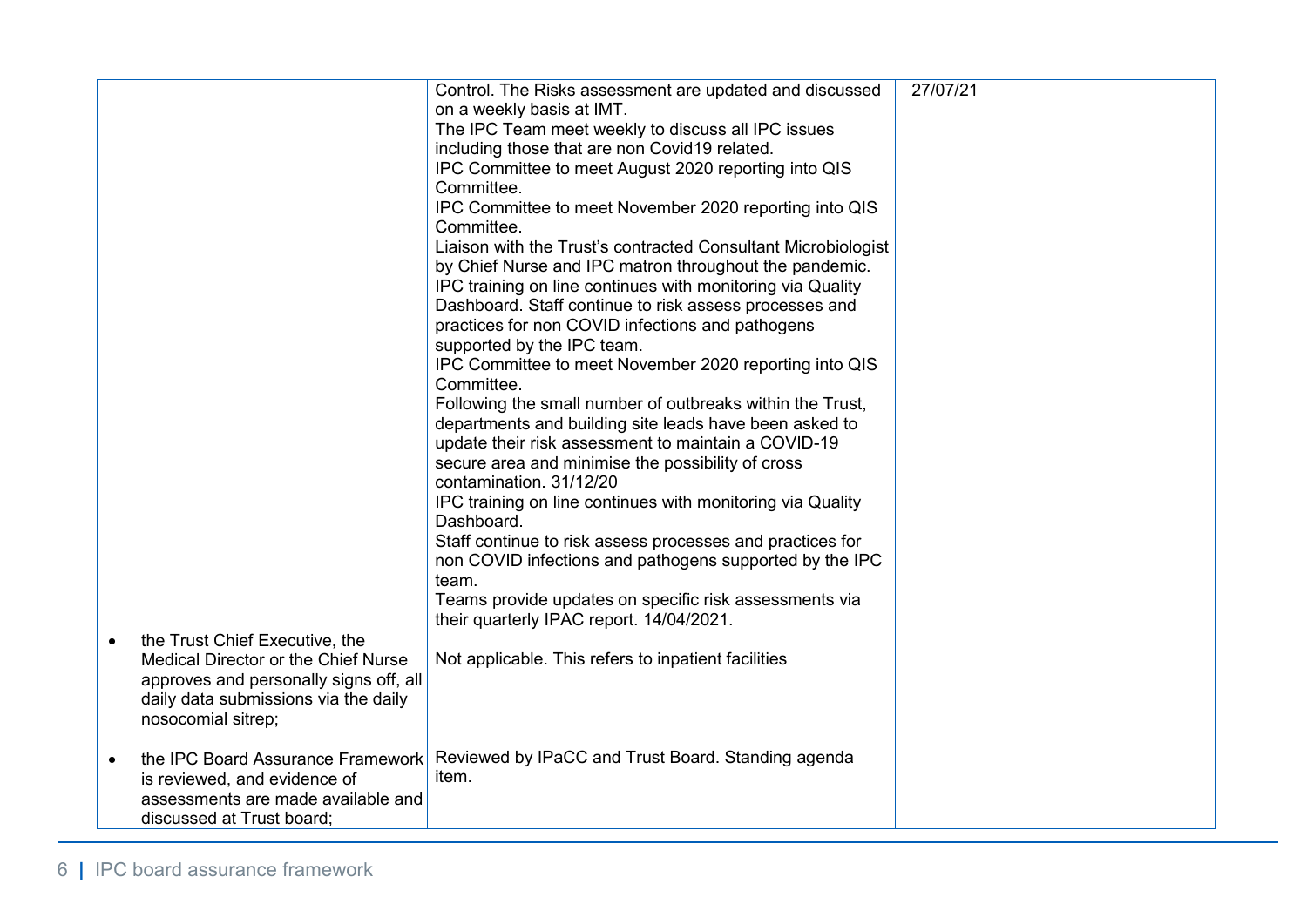|                                                                    | Control. The Risks assessment are updated and discussed       | 27/07/21 |  |
|--------------------------------------------------------------------|---------------------------------------------------------------|----------|--|
|                                                                    | on a weekly basis at IMT.                                     |          |  |
|                                                                    | The IPC Team meet weekly to discuss all IPC issues            |          |  |
|                                                                    | including those that are non Covid19 related.                 |          |  |
|                                                                    | IPC Committee to meet August 2020 reporting into QIS          |          |  |
|                                                                    | Committee.                                                    |          |  |
|                                                                    | IPC Committee to meet November 2020 reporting into QIS        |          |  |
|                                                                    | Committee.                                                    |          |  |
|                                                                    | Liaison with the Trust's contracted Consultant Microbiologist |          |  |
|                                                                    | by Chief Nurse and IPC matron throughout the pandemic.        |          |  |
|                                                                    | IPC training on line continues with monitoring via Quality    |          |  |
|                                                                    | Dashboard. Staff continue to risk assess processes and        |          |  |
|                                                                    | practices for non COVID infections and pathogens              |          |  |
|                                                                    | supported by the IPC team.                                    |          |  |
|                                                                    | IPC Committee to meet November 2020 reporting into QIS        |          |  |
|                                                                    | Committee.                                                    |          |  |
|                                                                    | Following the small number of outbreaks within the Trust,     |          |  |
|                                                                    | departments and building site leads have been asked to        |          |  |
|                                                                    | update their risk assessment to maintain a COVID-19           |          |  |
|                                                                    | secure area and minimise the possibility of cross             |          |  |
|                                                                    | contamination. 31/12/20                                       |          |  |
|                                                                    | IPC training on line continues with monitoring via Quality    |          |  |
|                                                                    | Dashboard.                                                    |          |  |
|                                                                    | Staff continue to risk assess processes and practices for     |          |  |
|                                                                    | non COVID infections and pathogens supported by the IPC       |          |  |
|                                                                    | team.                                                         |          |  |
|                                                                    | Teams provide updates on specific risk assessments via        |          |  |
|                                                                    | their quarterly IPAC report. 14/04/2021.                      |          |  |
| the Trust Chief Executive, the<br>$\bullet$                        |                                                               |          |  |
| Medical Director or the Chief Nurse                                | Not applicable. This refers to inpatient facilities           |          |  |
| approves and personally signs off, all                             |                                                               |          |  |
| daily data submissions via the daily                               |                                                               |          |  |
| nosocomial sitrep;                                                 |                                                               |          |  |
| the IPC Board Assurance Framework                                  | Reviewed by IPaCC and Trust Board. Standing agenda            |          |  |
| $\bullet$                                                          | item.                                                         |          |  |
| is reviewed, and evidence of<br>assessments are made available and |                                                               |          |  |
| discussed at Trust board;                                          |                                                               |          |  |
|                                                                    |                                                               |          |  |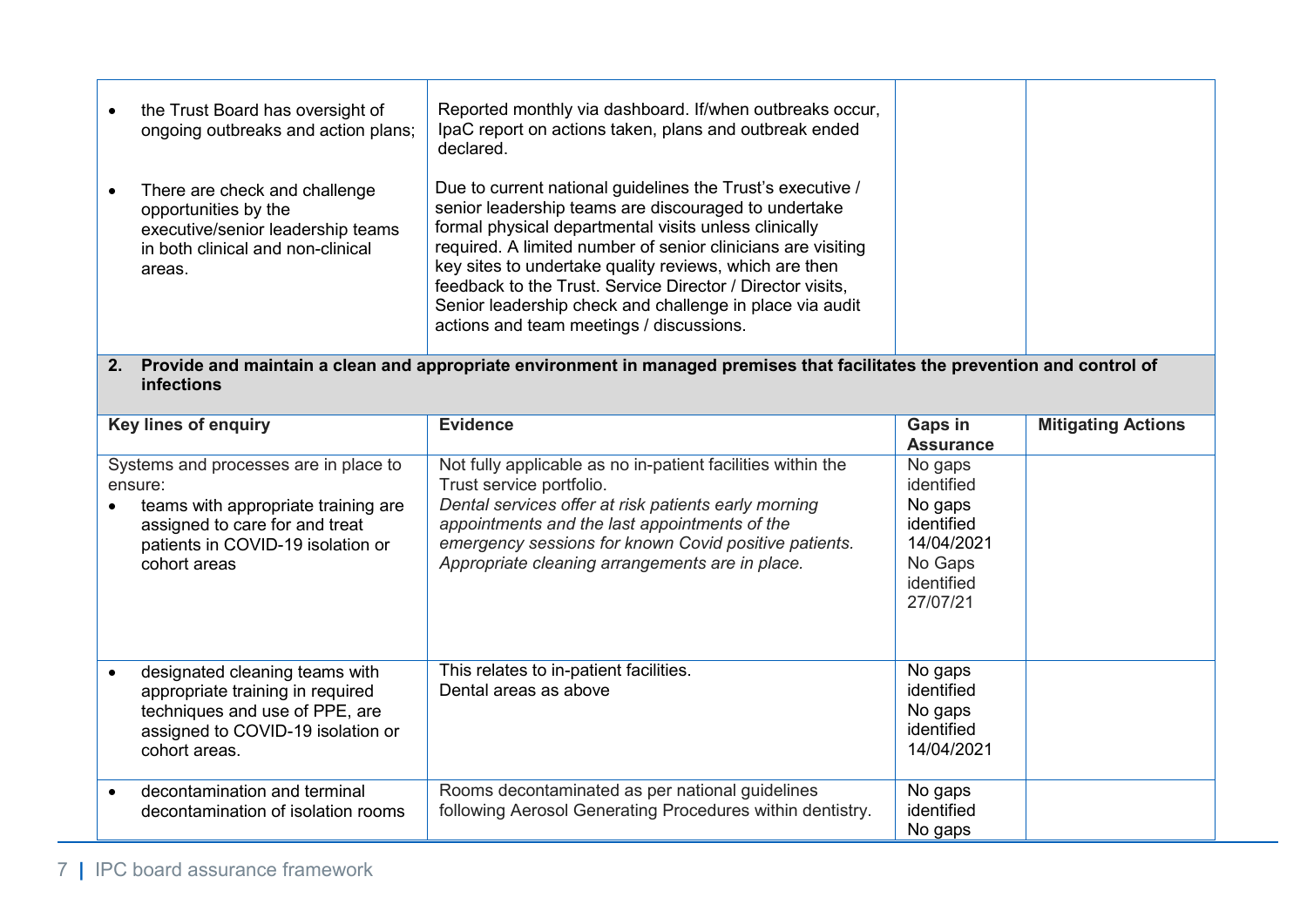| the Trust Board has oversight of<br>ongoing outbreaks and action plans;                                                                   | Reported monthly via dashboard. If/when outbreaks occur,<br>IpaC report on actions taken, plans and outbreak ended<br>declared.                                                                                                                                                                                                                                                                                                                                             |  |
|-------------------------------------------------------------------------------------------------------------------------------------------|-----------------------------------------------------------------------------------------------------------------------------------------------------------------------------------------------------------------------------------------------------------------------------------------------------------------------------------------------------------------------------------------------------------------------------------------------------------------------------|--|
| There are check and challenge<br>opportunities by the<br>executive/senior leadership teams<br>in both clinical and non-clinical<br>areas. | Due to current national guidelines the Trust's executive /<br>senior leadership teams are discouraged to undertake<br>formal physical departmental visits unless clinically<br>required. A limited number of senior clinicians are visiting<br>key sites to undertake quality reviews, which are then<br>feedback to the Trust. Service Director / Director visits,<br>Senior leadership check and challenge in place via audit<br>actions and team meetings / discussions. |  |

## **2. Provide and maintain a clean and appropriate environment in managed premises that facilitates the prevention and control of infections**

| <b>Key lines of enquiry</b>                                                                                                                                                    | <b>Evidence</b>                                                                                                                                                                                                                                                                                              | Gaps in<br><b>Assurance</b>                                                                       | <b>Mitigating Actions</b> |
|--------------------------------------------------------------------------------------------------------------------------------------------------------------------------------|--------------------------------------------------------------------------------------------------------------------------------------------------------------------------------------------------------------------------------------------------------------------------------------------------------------|---------------------------------------------------------------------------------------------------|---------------------------|
| Systems and processes are in place to<br>ensure:<br>teams with appropriate training are<br>assigned to care for and treat<br>patients in COVID-19 isolation or<br>cohort areas | Not fully applicable as no in-patient facilities within the<br>Trust service portfolio.<br>Dental services offer at risk patients early morning<br>appointments and the last appointments of the<br>emergency sessions for known Covid positive patients.<br>Appropriate cleaning arrangements are in place. | No gaps<br>identified<br>No gaps<br>identified<br>14/04/2021<br>No Gaps<br>identified<br>27/07/21 |                           |
| designated cleaning teams with<br>appropriate training in required<br>techniques and use of PPE, are<br>assigned to COVID-19 isolation or<br>cohort areas.                     | This relates to in-patient facilities.<br>Dental areas as above                                                                                                                                                                                                                                              | No gaps<br>identified<br>No gaps<br>identified<br>14/04/2021                                      |                           |
| decontamination and terminal<br>decontamination of isolation rooms                                                                                                             | Rooms decontaminated as per national guidelines<br>following Aerosol Generating Procedures within dentistry.                                                                                                                                                                                                 | No gaps<br>identified<br>No gaps                                                                  |                           |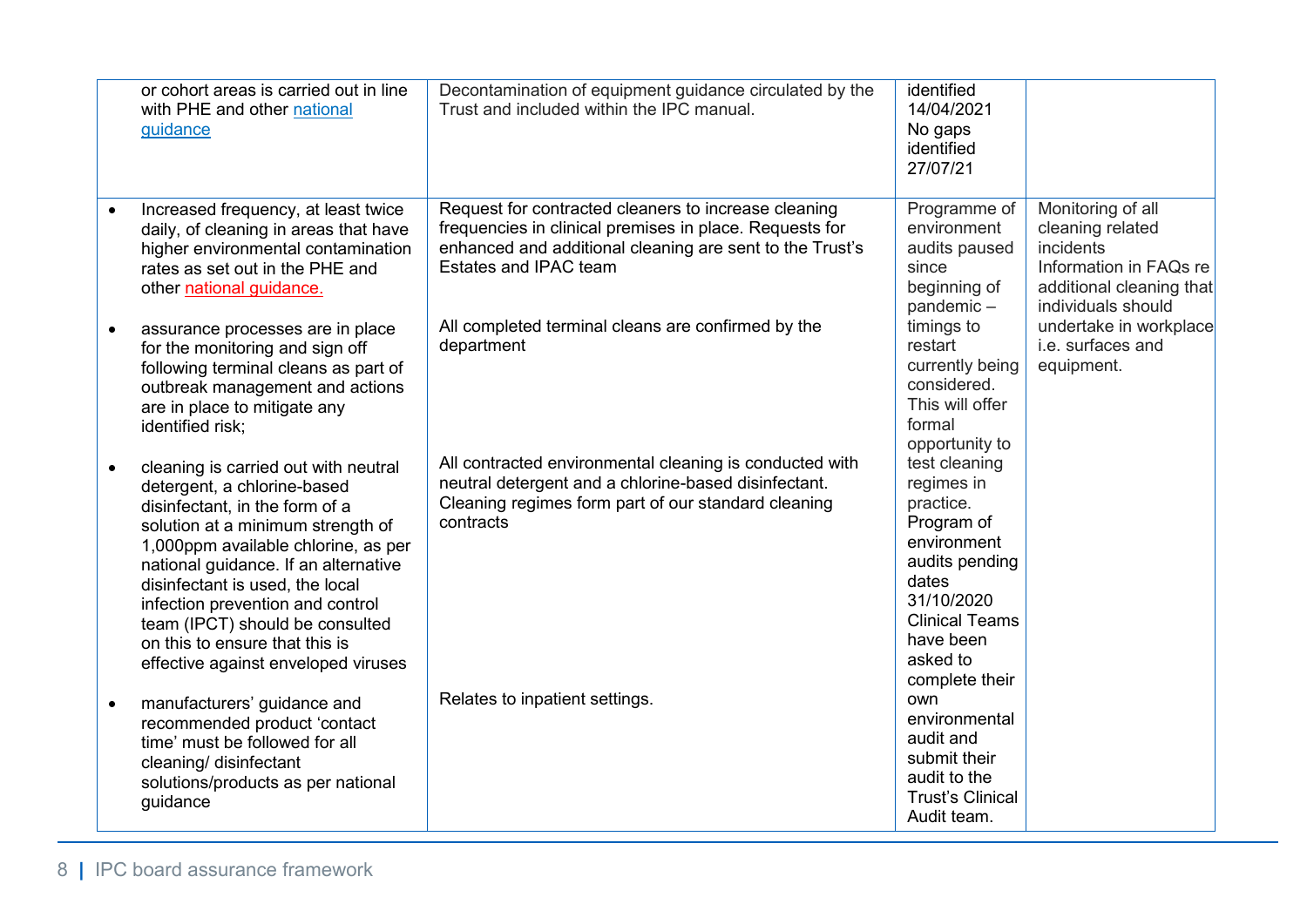|           | or cohort areas is carried out in line<br>with PHE and other national<br>guidance                                                                                                                                                                                                                                                                                                                            | Decontamination of equipment guidance circulated by the<br>Trust and included within the IPC manual.                                                                                                 | identified<br>14/04/2021<br>No gaps<br>identified<br>27/07/21                                                                                                                      |                                                                                                                                |
|-----------|--------------------------------------------------------------------------------------------------------------------------------------------------------------------------------------------------------------------------------------------------------------------------------------------------------------------------------------------------------------------------------------------------------------|------------------------------------------------------------------------------------------------------------------------------------------------------------------------------------------------------|------------------------------------------------------------------------------------------------------------------------------------------------------------------------------------|--------------------------------------------------------------------------------------------------------------------------------|
|           | Increased frequency, at least twice<br>daily, of cleaning in areas that have<br>higher environmental contamination<br>rates as set out in the PHE and<br>other national guidance.                                                                                                                                                                                                                            | Request for contracted cleaners to increase cleaning<br>frequencies in clinical premises in place. Requests for<br>enhanced and additional cleaning are sent to the Trust's<br>Estates and IPAC team | Programme of<br>environment<br>audits paused<br>since<br>beginning of<br>pandemic-                                                                                                 | Monitoring of all<br>cleaning related<br>incidents<br>Information in FAQs re<br>additional cleaning that<br>individuals should |
| $\bullet$ | assurance processes are in place<br>for the monitoring and sign off<br>following terminal cleans as part of<br>outbreak management and actions<br>are in place to mitigate any<br>identified risk;                                                                                                                                                                                                           | All completed terminal cleans are confirmed by the<br>department                                                                                                                                     | timings to<br>restart<br>currently being<br>considered.<br>This will offer<br>formal<br>opportunity to                                                                             | undertake in workplace<br>i.e. surfaces and<br>equipment.                                                                      |
| $\bullet$ | cleaning is carried out with neutral<br>detergent, a chlorine-based<br>disinfectant, in the form of a<br>solution at a minimum strength of<br>1,000ppm available chlorine, as per<br>national guidance. If an alternative<br>disinfectant is used, the local<br>infection prevention and control<br>team (IPCT) should be consulted<br>on this to ensure that this is<br>effective against enveloped viruses | All contracted environmental cleaning is conducted with<br>neutral detergent and a chlorine-based disinfectant.<br>Cleaning regimes form part of our standard cleaning<br>contracts                  | test cleaning<br>regimes in<br>practice.<br>Program of<br>environment<br>audits pending<br>dates<br>31/10/2020<br><b>Clinical Teams</b><br>have been<br>asked to<br>complete their |                                                                                                                                |
|           | manufacturers' guidance and<br>recommended product 'contact<br>time' must be followed for all<br>cleaning/ disinfectant<br>solutions/products as per national<br>guidance                                                                                                                                                                                                                                    | Relates to inpatient settings.                                                                                                                                                                       | own<br>environmental<br>audit and<br>submit their<br>audit to the<br><b>Trust's Clinical</b><br>Audit team.                                                                        |                                                                                                                                |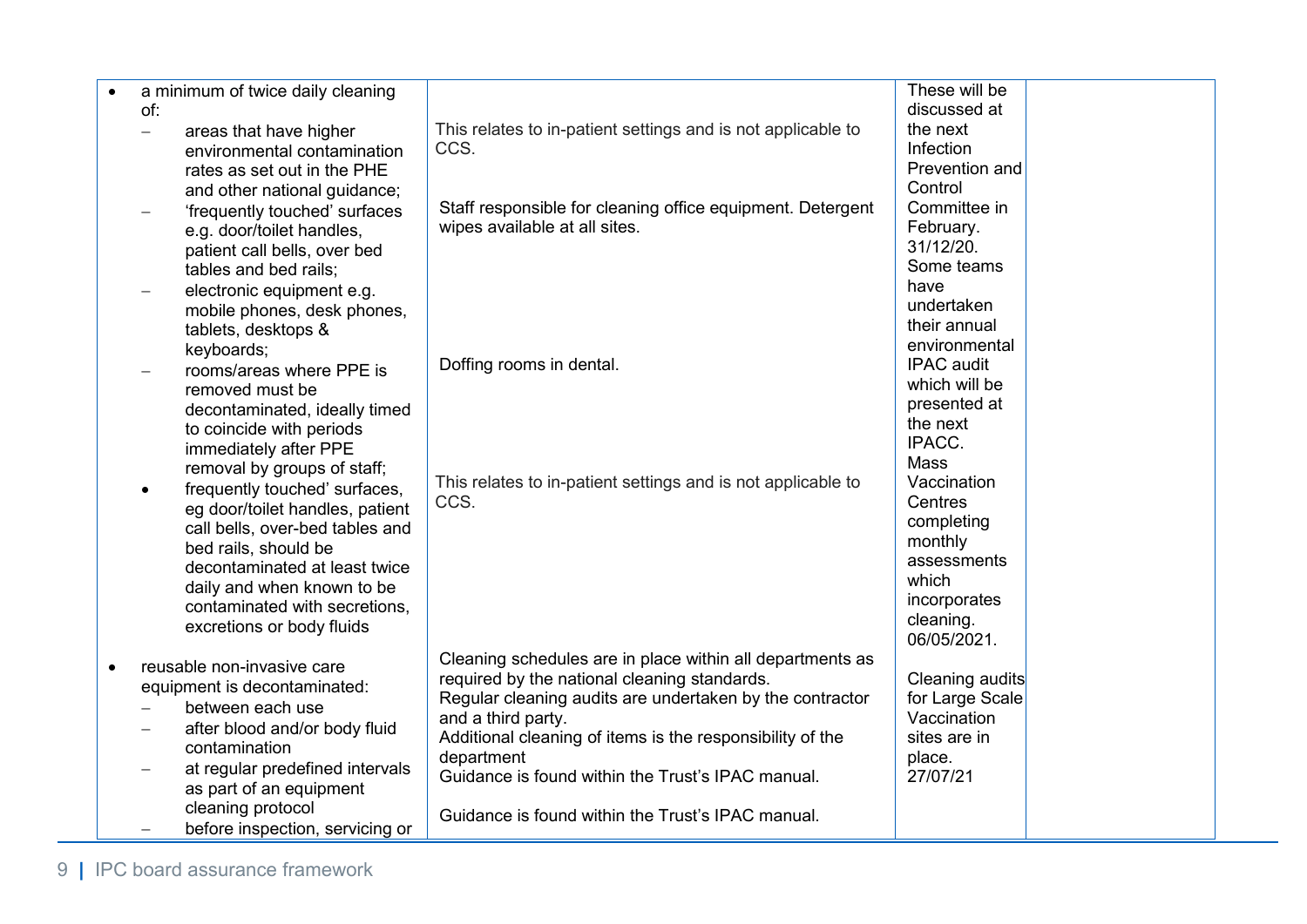| $\bullet$                | a minimum of twice daily cleaning                           |                                                              | These will be     |  |
|--------------------------|-------------------------------------------------------------|--------------------------------------------------------------|-------------------|--|
| of:                      |                                                             |                                                              | discussed at      |  |
| $\overline{\phantom{0}}$ | areas that have higher                                      | This relates to in-patient settings and is not applicable to | the next          |  |
|                          | environmental contamination                                 | CCS.                                                         | Infection         |  |
|                          | rates as set out in the PHE                                 |                                                              | Prevention and    |  |
|                          | and other national guidance;                                |                                                              | Control           |  |
|                          | 'frequently touched' surfaces                               | Staff responsible for cleaning office equipment. Detergent   | Committee in      |  |
|                          | e.g. door/toilet handles,                                   | wipes available at all sites.                                | February.         |  |
|                          | patient call bells, over bed                                |                                                              | 31/12/20.         |  |
|                          | tables and bed rails;                                       |                                                              | Some teams        |  |
| $\overline{\phantom{0}}$ | electronic equipment e.g.                                   |                                                              | have              |  |
|                          | mobile phones, desk phones,                                 |                                                              | undertaken        |  |
|                          | tablets, desktops &                                         |                                                              | their annual      |  |
|                          | keyboards;                                                  |                                                              | environmental     |  |
|                          | rooms/areas where PPE is                                    | Doffing rooms in dental.                                     | <b>IPAC</b> audit |  |
| $\qquad \qquad -$        |                                                             |                                                              | which will be     |  |
|                          | removed must be                                             |                                                              | presented at      |  |
|                          | decontaminated, ideally timed                               |                                                              | the next          |  |
|                          | to coincide with periods                                    |                                                              | IPACC.            |  |
|                          | immediately after PPE                                       |                                                              | <b>Mass</b>       |  |
|                          | removal by groups of staff;                                 | This relates to in-patient settings and is not applicable to | Vaccination       |  |
| $\bullet$                | frequently touched' surfaces,                               | CCS.                                                         | Centres           |  |
|                          | eg door/toilet handles, patient                             |                                                              | completing        |  |
|                          | call bells, over-bed tables and                             |                                                              | monthly           |  |
|                          | bed rails, should be<br>decontaminated at least twice       |                                                              | assessments       |  |
|                          |                                                             |                                                              | which             |  |
|                          | daily and when known to be<br>contaminated with secretions, |                                                              | incorporates      |  |
|                          |                                                             |                                                              | cleaning.         |  |
|                          | excretions or body fluids                                   |                                                              | 06/05/2021.       |  |
|                          | reusable non-invasive care                                  | Cleaning schedules are in place within all departments as    |                   |  |
| $\bullet$                |                                                             | required by the national cleaning standards.                 | Cleaning audits   |  |
|                          | equipment is decontaminated:                                | Regular cleaning audits are undertaken by the contractor     | for Large Scale   |  |
|                          | between each use                                            | and a third party.                                           | Vaccination       |  |
|                          | after blood and/or body fluid                               | Additional cleaning of items is the responsibility of the    | sites are in      |  |
|                          | contamination                                               | department                                                   | place.            |  |
|                          | at regular predefined intervals                             | Guidance is found within the Trust's IPAC manual.            | 27/07/21          |  |
|                          | as part of an equipment                                     |                                                              |                   |  |
|                          | cleaning protocol                                           | Guidance is found within the Trust's IPAC manual.            |                   |  |
|                          | before inspection, servicing or                             |                                                              |                   |  |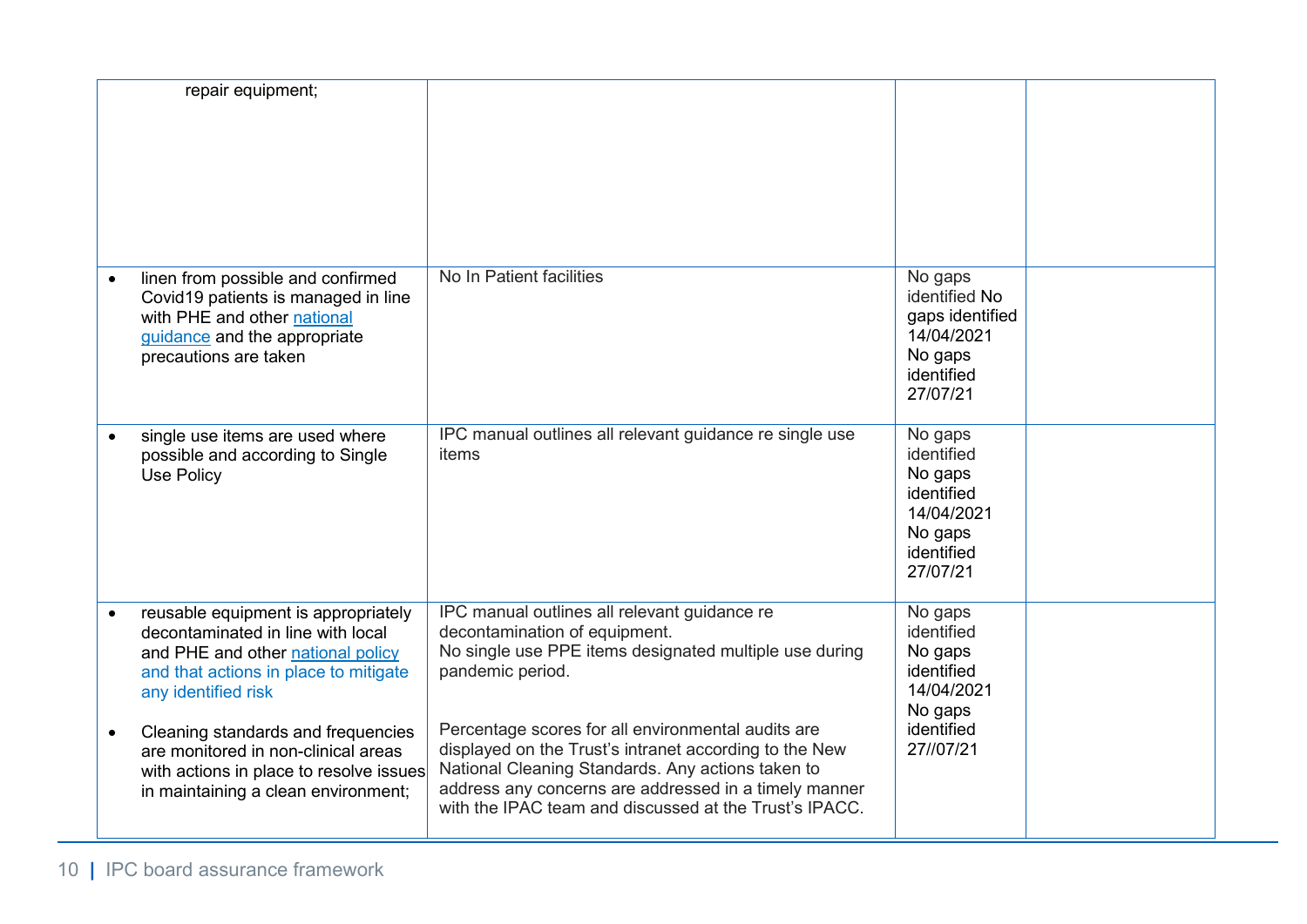|           | repair equipment;                                                                                                                                                             |                                                                                                                                                                                                                                                                                      |                                                                                                   |  |
|-----------|-------------------------------------------------------------------------------------------------------------------------------------------------------------------------------|--------------------------------------------------------------------------------------------------------------------------------------------------------------------------------------------------------------------------------------------------------------------------------------|---------------------------------------------------------------------------------------------------|--|
|           | linen from possible and confirmed<br>Covid19 patients is managed in line<br>with PHE and other national<br>guidance and the appropriate<br>precautions are taken              | No In Patient facilities                                                                                                                                                                                                                                                             | No gaps<br>identified No<br>gaps identified<br>14/04/2021<br>No gaps<br>identified<br>27/07/21    |  |
| $\bullet$ | single use items are used where<br>possible and according to Single<br>Use Policy                                                                                             | IPC manual outlines all relevant guidance re single use<br>items                                                                                                                                                                                                                     | No gaps<br>identified<br>No gaps<br>identified<br>14/04/2021<br>No gaps<br>identified<br>27/07/21 |  |
|           | reusable equipment is appropriately<br>decontaminated in line with local<br>and PHE and other national policy<br>and that actions in place to mitigate<br>any identified risk | IPC manual outlines all relevant guidance re<br>decontamination of equipment.<br>No single use PPE items designated multiple use during<br>pandemic period.                                                                                                                          | No gaps<br>identified<br>No gaps<br>identified<br>14/04/2021<br>No gaps                           |  |
| $\bullet$ | Cleaning standards and frequencies<br>are monitored in non-clinical areas<br>with actions in place to resolve issues<br>in maintaining a clean environment;                   | Percentage scores for all environmental audits are<br>displayed on the Trust's intranet according to the New<br>National Cleaning Standards. Any actions taken to<br>address any concerns are addressed in a timely manner<br>with the IPAC team and discussed at the Trust's IPACC. | identified<br>27//07/21                                                                           |  |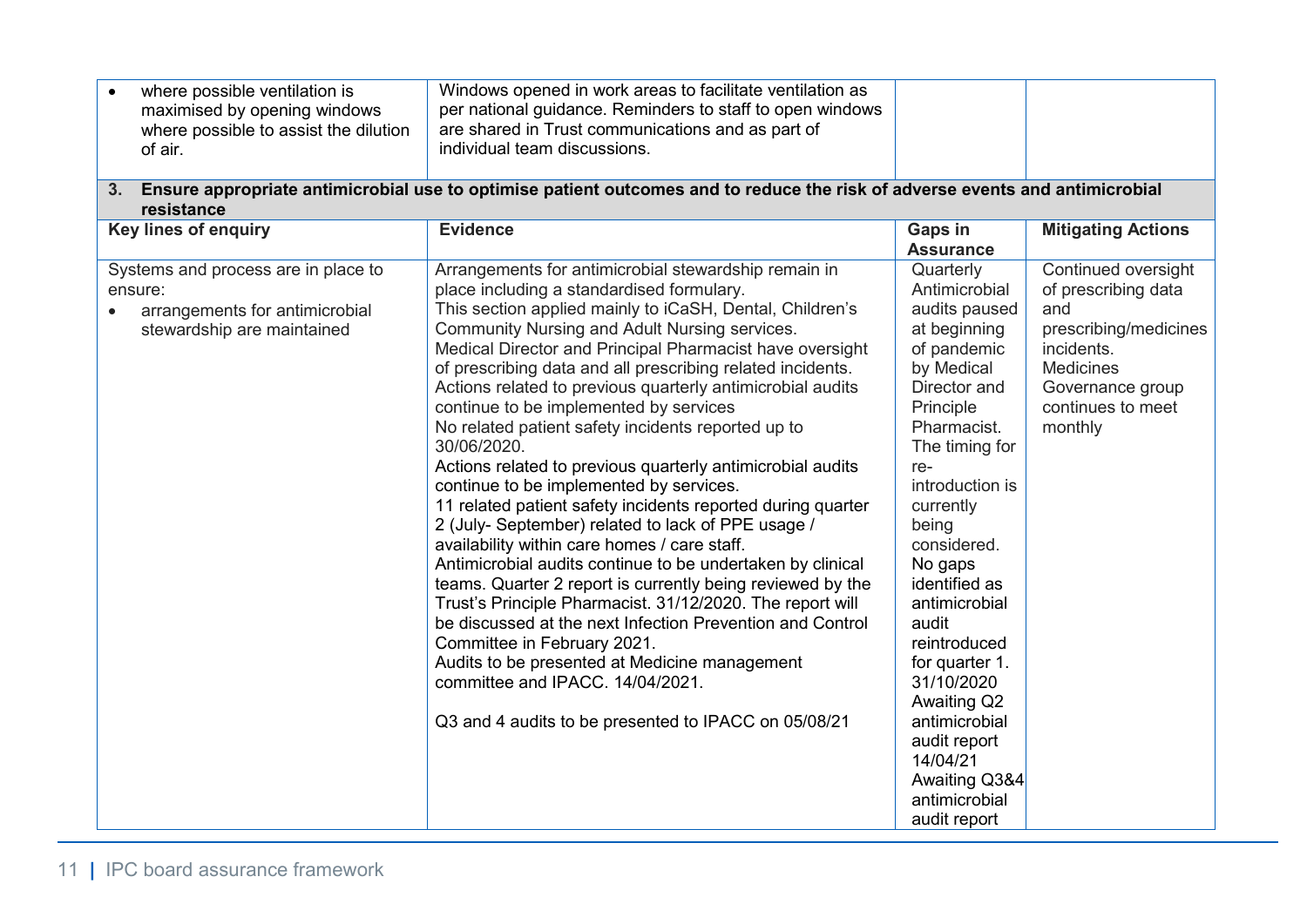|                | where possible ventilation is<br>maximised by opening windows<br>where possible to assist the dilution<br>of air. | Windows opened in work areas to facilitate ventilation as<br>per national guidance. Reminders to staff to open windows<br>are shared in Trust communications and as part of<br>individual team discussions.                                                                                                                                                                                                                                                                                                                                                                                                                                                                                                                                                                                                                                                                                                                                                                                                                                                                                                                                                                                                                           |                                                                                                                                                                                                                                                                                                                                                                                                                                           |                                                                                                                                                                  |
|----------------|-------------------------------------------------------------------------------------------------------------------|---------------------------------------------------------------------------------------------------------------------------------------------------------------------------------------------------------------------------------------------------------------------------------------------------------------------------------------------------------------------------------------------------------------------------------------------------------------------------------------------------------------------------------------------------------------------------------------------------------------------------------------------------------------------------------------------------------------------------------------------------------------------------------------------------------------------------------------------------------------------------------------------------------------------------------------------------------------------------------------------------------------------------------------------------------------------------------------------------------------------------------------------------------------------------------------------------------------------------------------|-------------------------------------------------------------------------------------------------------------------------------------------------------------------------------------------------------------------------------------------------------------------------------------------------------------------------------------------------------------------------------------------------------------------------------------------|------------------------------------------------------------------------------------------------------------------------------------------------------------------|
| 3 <sub>1</sub> | resistance                                                                                                        | Ensure appropriate antimicrobial use to optimise patient outcomes and to reduce the risk of adverse events and antimicrobial                                                                                                                                                                                                                                                                                                                                                                                                                                                                                                                                                                                                                                                                                                                                                                                                                                                                                                                                                                                                                                                                                                          |                                                                                                                                                                                                                                                                                                                                                                                                                                           |                                                                                                                                                                  |
|                | Key lines of enquiry                                                                                              | <b>Evidence</b>                                                                                                                                                                                                                                                                                                                                                                                                                                                                                                                                                                                                                                                                                                                                                                                                                                                                                                                                                                                                                                                                                                                                                                                                                       | <b>Gaps in</b><br><b>Assurance</b>                                                                                                                                                                                                                                                                                                                                                                                                        | <b>Mitigating Actions</b>                                                                                                                                        |
|                | Systems and process are in place to<br>ensure:<br>arrangements for antimicrobial<br>stewardship are maintained    | Arrangements for antimicrobial stewardship remain in<br>place including a standardised formulary.<br>This section applied mainly to iCaSH, Dental, Children's<br>Community Nursing and Adult Nursing services.<br>Medical Director and Principal Pharmacist have oversight<br>of prescribing data and all prescribing related incidents.<br>Actions related to previous quarterly antimicrobial audits<br>continue to be implemented by services<br>No related patient safety incidents reported up to<br>30/06/2020.<br>Actions related to previous quarterly antimicrobial audits<br>continue to be implemented by services.<br>11 related patient safety incidents reported during quarter<br>2 (July- September) related to lack of PPE usage /<br>availability within care homes / care staff.<br>Antimicrobial audits continue to be undertaken by clinical<br>teams. Quarter 2 report is currently being reviewed by the<br>Trust's Principle Pharmacist. 31/12/2020. The report will<br>be discussed at the next Infection Prevention and Control<br>Committee in February 2021.<br>Audits to be presented at Medicine management<br>committee and IPACC. 14/04/2021.<br>Q3 and 4 audits to be presented to IPACC on 05/08/21 | Quarterly<br>Antimicrobial<br>audits paused<br>at beginning<br>of pandemic<br>by Medical<br>Director and<br>Principle<br>Pharmacist.<br>The timing for<br>re-<br>introduction is<br>currently<br>being<br>considered.<br>No gaps<br>identified as<br>antimicrobial<br>audit<br>reintroduced<br>for quarter 1.<br>31/10/2020<br>Awaiting Q2<br>antimicrobial<br>audit report<br>14/04/21<br>Awaiting Q3&4<br>antimicrobial<br>audit report | Continued oversight<br>of prescribing data<br>and<br>prescribing/medicines<br>incidents.<br><b>Medicines</b><br>Governance group<br>continues to meet<br>monthly |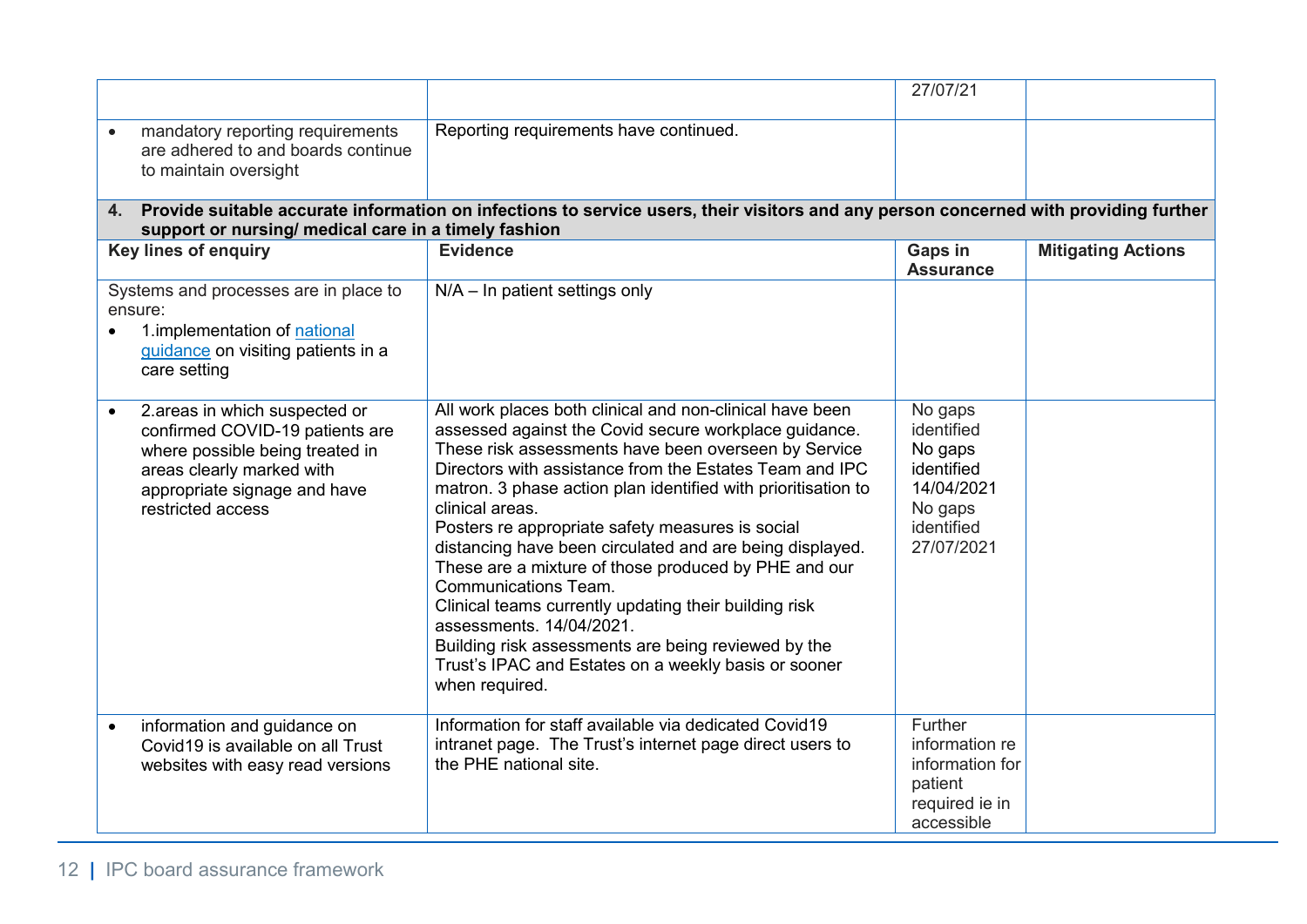|                                                                                                                                                                                                    |                                                                                                                                                                                                                                                                                                                                                                                                                                                                                                                                                                                                                                                                                                                                                       | 27/07/21                                                                                            |                           |
|----------------------------------------------------------------------------------------------------------------------------------------------------------------------------------------------------|-------------------------------------------------------------------------------------------------------------------------------------------------------------------------------------------------------------------------------------------------------------------------------------------------------------------------------------------------------------------------------------------------------------------------------------------------------------------------------------------------------------------------------------------------------------------------------------------------------------------------------------------------------------------------------------------------------------------------------------------------------|-----------------------------------------------------------------------------------------------------|---------------------------|
| mandatory reporting requirements<br>$\bullet$<br>are adhered to and boards continue<br>to maintain oversight                                                                                       | Reporting requirements have continued.                                                                                                                                                                                                                                                                                                                                                                                                                                                                                                                                                                                                                                                                                                                |                                                                                                     |                           |
| 4 <sup>1</sup><br>support or nursing/ medical care in a timely fashion                                                                                                                             | Provide suitable accurate information on infections to service users, their visitors and any person concerned with providing further                                                                                                                                                                                                                                                                                                                                                                                                                                                                                                                                                                                                                  |                                                                                                     |                           |
| Key lines of enquiry                                                                                                                                                                               | <b>Evidence</b>                                                                                                                                                                                                                                                                                                                                                                                                                                                                                                                                                                                                                                                                                                                                       | Gaps in<br><b>Assurance</b>                                                                         | <b>Mitigating Actions</b> |
| Systems and processes are in place to<br>ensure:<br>1.implementation of national<br>guidance on visiting patients in a<br>care setting                                                             | $N/A - In$ patient settings only                                                                                                                                                                                                                                                                                                                                                                                                                                                                                                                                                                                                                                                                                                                      |                                                                                                     |                           |
| 2.areas in which suspected or<br>$\bullet$<br>confirmed COVID-19 patients are<br>where possible being treated in<br>areas clearly marked with<br>appropriate signage and have<br>restricted access | All work places both clinical and non-clinical have been<br>assessed against the Covid secure workplace guidance.<br>These risk assessments have been overseen by Service<br>Directors with assistance from the Estates Team and IPC<br>matron. 3 phase action plan identified with prioritisation to<br>clinical areas.<br>Posters re appropriate safety measures is social<br>distancing have been circulated and are being displayed.<br>These are a mixture of those produced by PHE and our<br><b>Communications Team.</b><br>Clinical teams currently updating their building risk<br>assessments, 14/04/2021.<br>Building risk assessments are being reviewed by the<br>Trust's IPAC and Estates on a weekly basis or sooner<br>when required. | No gaps<br>identified<br>No gaps<br>identified<br>14/04/2021<br>No gaps<br>identified<br>27/07/2021 |                           |
| information and guidance on<br>$\bullet$<br>Covid19 is available on all Trust<br>websites with easy read versions                                                                                  | Information for staff available via dedicated Covid19<br>intranet page. The Trust's internet page direct users to<br>the PHE national site.                                                                                                                                                                                                                                                                                                                                                                                                                                                                                                                                                                                                           | Further<br>information re<br>information for<br>patient<br>required ie in<br>accessible             |                           |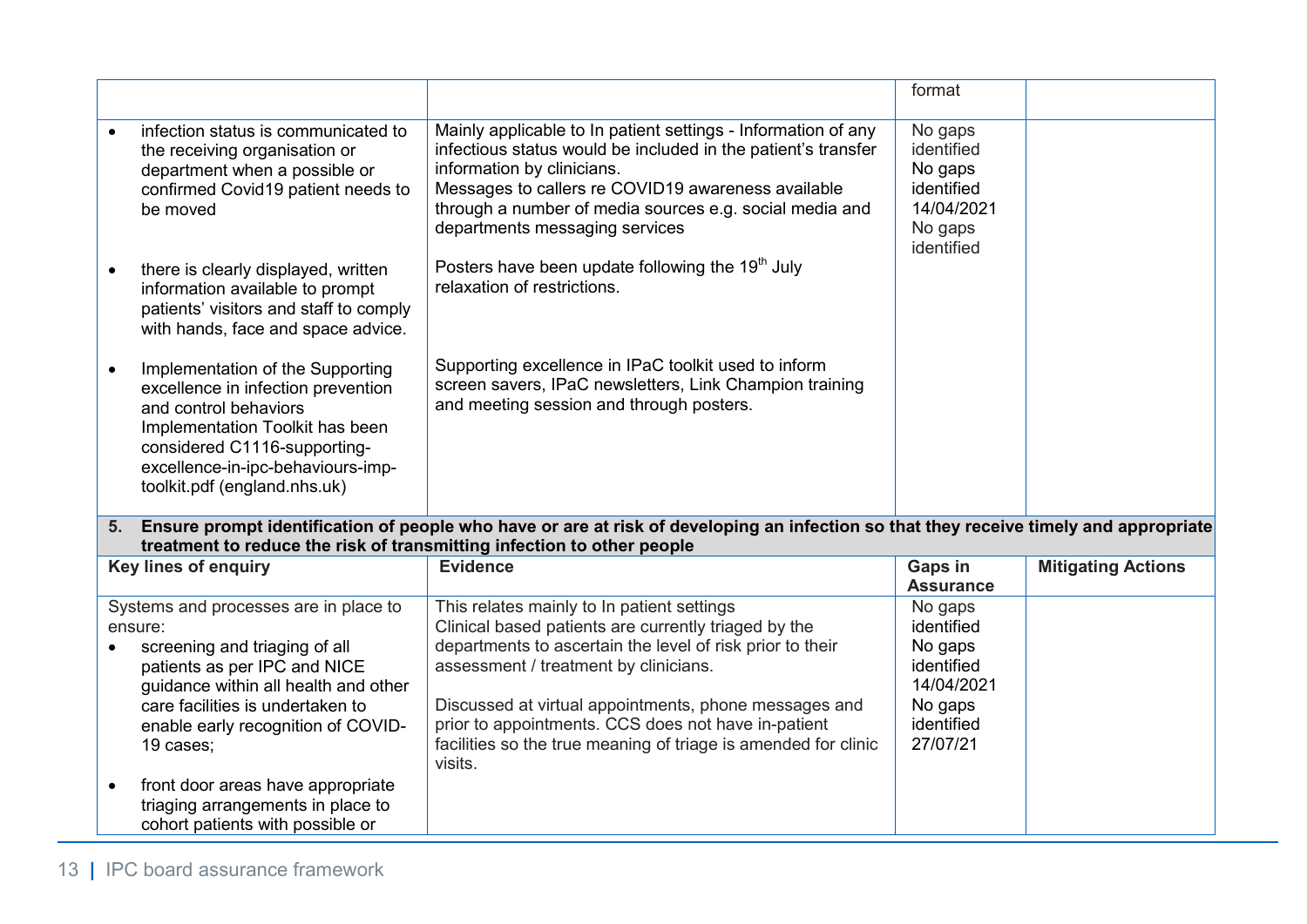|           |                                                                                                                                                                                                                                                                                                                                                                |                                                                                                                                                                                                                                                                                                                                                                                                       | format                                                                                            |                           |
|-----------|----------------------------------------------------------------------------------------------------------------------------------------------------------------------------------------------------------------------------------------------------------------------------------------------------------------------------------------------------------------|-------------------------------------------------------------------------------------------------------------------------------------------------------------------------------------------------------------------------------------------------------------------------------------------------------------------------------------------------------------------------------------------------------|---------------------------------------------------------------------------------------------------|---------------------------|
|           | infection status is communicated to<br>the receiving organisation or<br>department when a possible or<br>confirmed Covid19 patient needs to<br>be moved                                                                                                                                                                                                        | Mainly applicable to In patient settings - Information of any<br>infectious status would be included in the patient's transfer<br>information by clinicians.<br>Messages to callers re COVID19 awareness available<br>through a number of media sources e.g. social media and<br>departments messaging services                                                                                       | No gaps<br>identified<br>No gaps<br>identified<br>14/04/2021<br>No gaps<br>identified             |                           |
|           | there is clearly displayed, written<br>information available to prompt<br>patients' visitors and staff to comply<br>with hands, face and space advice.                                                                                                                                                                                                         | Posters have been update following the 19 <sup>th</sup> July<br>relaxation of restrictions.                                                                                                                                                                                                                                                                                                           |                                                                                                   |                           |
| $\bullet$ | Implementation of the Supporting<br>excellence in infection prevention<br>and control behaviors<br>Implementation Toolkit has been<br>considered C1116-supporting-<br>excellence-in-ipc-behaviours-imp-<br>toolkit.pdf (england.nhs.uk)                                                                                                                        | Supporting excellence in IPaC toolkit used to inform<br>screen savers, IPaC newsletters, Link Champion training<br>and meeting session and through posters.                                                                                                                                                                                                                                           |                                                                                                   |                           |
|           | treatment to reduce the risk of transmitting infection to other people                                                                                                                                                                                                                                                                                         | 5. Ensure prompt identification of people who have or are at risk of developing an infection so that they receive timely and appropriate                                                                                                                                                                                                                                                              |                                                                                                   |                           |
|           | <b>Key lines of enquiry</b>                                                                                                                                                                                                                                                                                                                                    | <b>Evidence</b>                                                                                                                                                                                                                                                                                                                                                                                       | Gaps in<br><b>Assurance</b>                                                                       | <b>Mitigating Actions</b> |
| $\bullet$ | Systems and processes are in place to<br>ensure:<br>screening and triaging of all<br>patients as per IPC and NICE<br>guidance within all health and other<br>care facilities is undertaken to<br>enable early recognition of COVID-<br>19 cases;<br>front door areas have appropriate<br>triaging arrangements in place to<br>cohort patients with possible or | This relates mainly to In patient settings<br>Clinical based patients are currently triaged by the<br>departments to ascertain the level of risk prior to their<br>assessment / treatment by clinicians.<br>Discussed at virtual appointments, phone messages and<br>prior to appointments. CCS does not have in-patient<br>facilities so the true meaning of triage is amended for clinic<br>visits. | No gaps<br>identified<br>No gaps<br>identified<br>14/04/2021<br>No gaps<br>identified<br>27/07/21 |                           |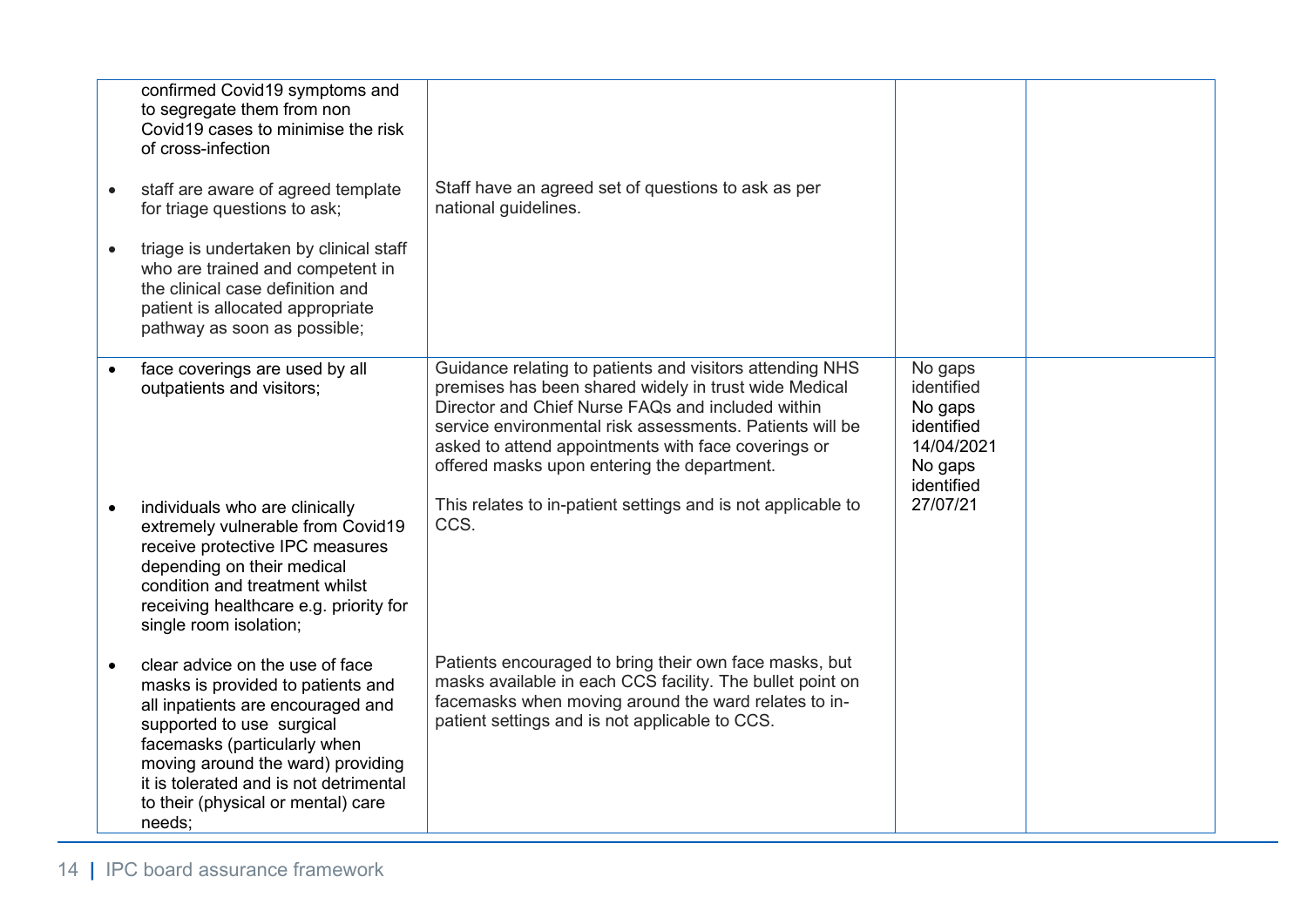|           | confirmed Covid19 symptoms and<br>to segregate them from non<br>Covid 19 cases to minimise the risk<br>of cross-infection<br>staff are aware of agreed template<br>for triage questions to ask;<br>triage is undertaken by clinical staff<br>who are trained and competent in<br>the clinical case definition and<br>patient is allocated appropriate<br>pathway as soon as possible; | Staff have an agreed set of questions to ask as per<br>national guidelines.                                                                                                                                                                                                                                                              |                                                                                       |  |
|-----------|---------------------------------------------------------------------------------------------------------------------------------------------------------------------------------------------------------------------------------------------------------------------------------------------------------------------------------------------------------------------------------------|------------------------------------------------------------------------------------------------------------------------------------------------------------------------------------------------------------------------------------------------------------------------------------------------------------------------------------------|---------------------------------------------------------------------------------------|--|
| $\bullet$ | face coverings are used by all<br>outpatients and visitors;                                                                                                                                                                                                                                                                                                                           | Guidance relating to patients and visitors attending NHS<br>premises has been shared widely in trust wide Medical<br>Director and Chief Nurse FAQs and included within<br>service environmental risk assessments. Patients will be<br>asked to attend appointments with face coverings or<br>offered masks upon entering the department. | No gaps<br>identified<br>No gaps<br>identified<br>14/04/2021<br>No gaps<br>identified |  |
|           | individuals who are clinically<br>extremely vulnerable from Covid19<br>receive protective IPC measures<br>depending on their medical<br>condition and treatment whilst<br>receiving healthcare e.g. priority for<br>single room isolation;                                                                                                                                            | This relates to in-patient settings and is not applicable to<br>CCS.                                                                                                                                                                                                                                                                     | 27/07/21                                                                              |  |
|           | clear advice on the use of face<br>masks is provided to patients and<br>all inpatients are encouraged and<br>supported to use surgical<br>facemasks (particularly when<br>moving around the ward) providing<br>it is tolerated and is not detrimental<br>to their (physical or mental) care<br>needs:                                                                                 | Patients encouraged to bring their own face masks, but<br>masks available in each CCS facility. The bullet point on<br>facemasks when moving around the ward relates to in-<br>patient settings and is not applicable to CCS.                                                                                                            |                                                                                       |  |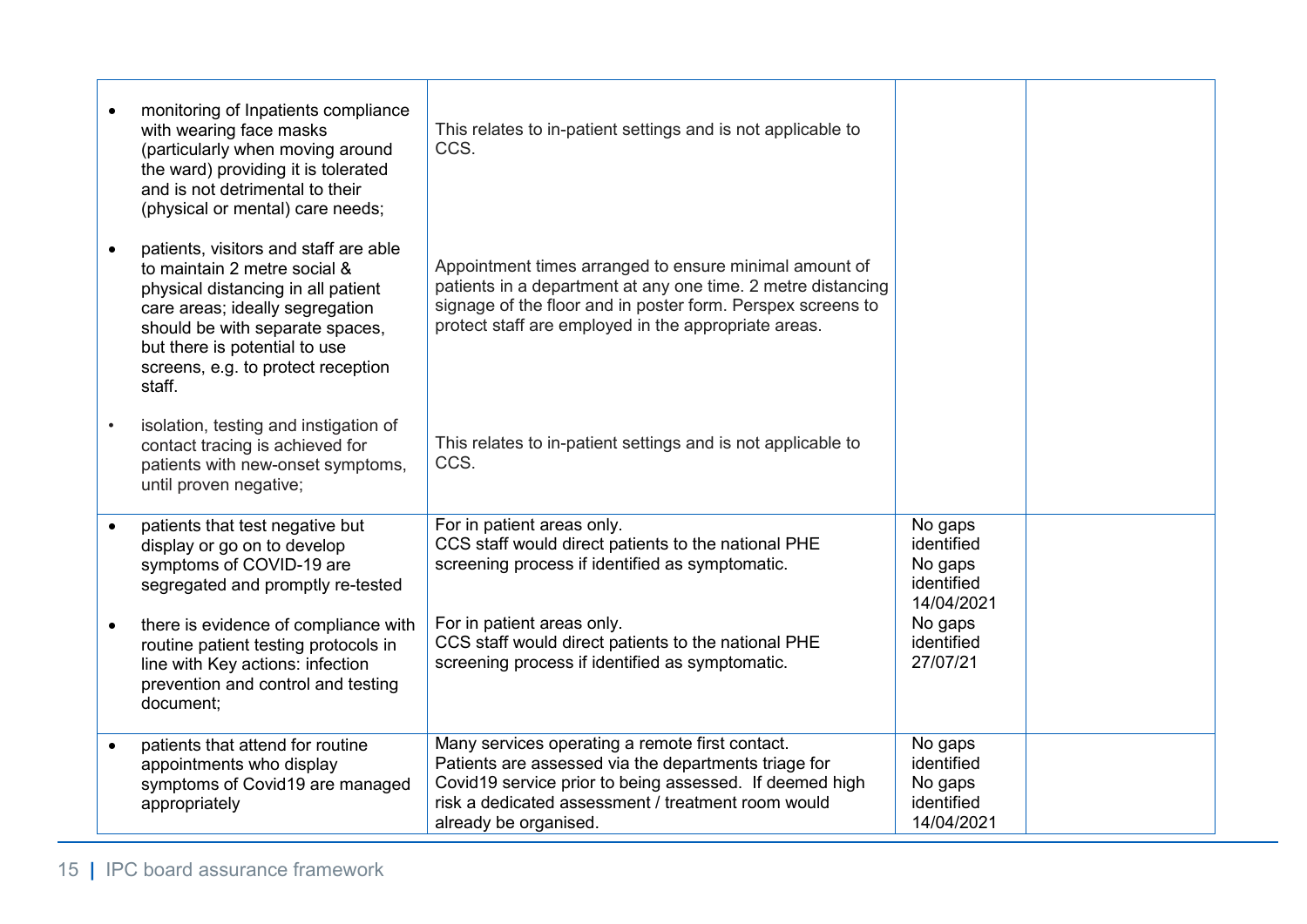|           | monitoring of Inpatients compliance<br>with wearing face masks<br>(particularly when moving around<br>the ward) providing it is tolerated<br>and is not detrimental to their<br>(physical or mental) care needs;<br>patients, visitors and staff are able<br>to maintain 2 metre social &<br>physical distancing in all patient<br>care areas; ideally segregation<br>should be with separate spaces,<br>but there is potential to use<br>screens, e.g. to protect reception | This relates to in-patient settings and is not applicable to<br>CCS.<br>Appointment times arranged to ensure minimal amount of<br>patients in a department at any one time. 2 metre distancing<br>signage of the floor and in poster form. Perspex screens to<br>protect staff are employed in the appropriate areas. |                                                                         |  |
|-----------|------------------------------------------------------------------------------------------------------------------------------------------------------------------------------------------------------------------------------------------------------------------------------------------------------------------------------------------------------------------------------------------------------------------------------------------------------------------------------|-----------------------------------------------------------------------------------------------------------------------------------------------------------------------------------------------------------------------------------------------------------------------------------------------------------------------|-------------------------------------------------------------------------|--|
|           | staff.<br>isolation, testing and instigation of<br>contact tracing is achieved for<br>patients with new-onset symptoms,<br>until proven negative;                                                                                                                                                                                                                                                                                                                            | This relates to in-patient settings and is not applicable to<br>CCS.                                                                                                                                                                                                                                                  |                                                                         |  |
|           | patients that test negative but<br>display or go on to develop<br>symptoms of COVID-19 are<br>segregated and promptly re-tested<br>there is evidence of compliance with                                                                                                                                                                                                                                                                                                      | For in patient areas only.<br>CCS staff would direct patients to the national PHE<br>screening process if identified as symptomatic.<br>For in patient areas only.                                                                                                                                                    | No gaps<br>identified<br>No gaps<br>identified<br>14/04/2021<br>No gaps |  |
|           | routine patient testing protocols in<br>line with Key actions: infection<br>prevention and control and testing<br>document;                                                                                                                                                                                                                                                                                                                                                  | CCS staff would direct patients to the national PHE<br>screening process if identified as symptomatic.                                                                                                                                                                                                                | identified<br>27/07/21                                                  |  |
| $\bullet$ | patients that attend for routine<br>appointments who display<br>symptoms of Covid19 are managed<br>appropriately                                                                                                                                                                                                                                                                                                                                                             | Many services operating a remote first contact.<br>Patients are assessed via the departments triage for<br>Covid19 service prior to being assessed. If deemed high<br>risk a dedicated assessment / treatment room would<br>already be organised.                                                                     | No gaps<br>identified<br>No gaps<br>identified<br>14/04/2021            |  |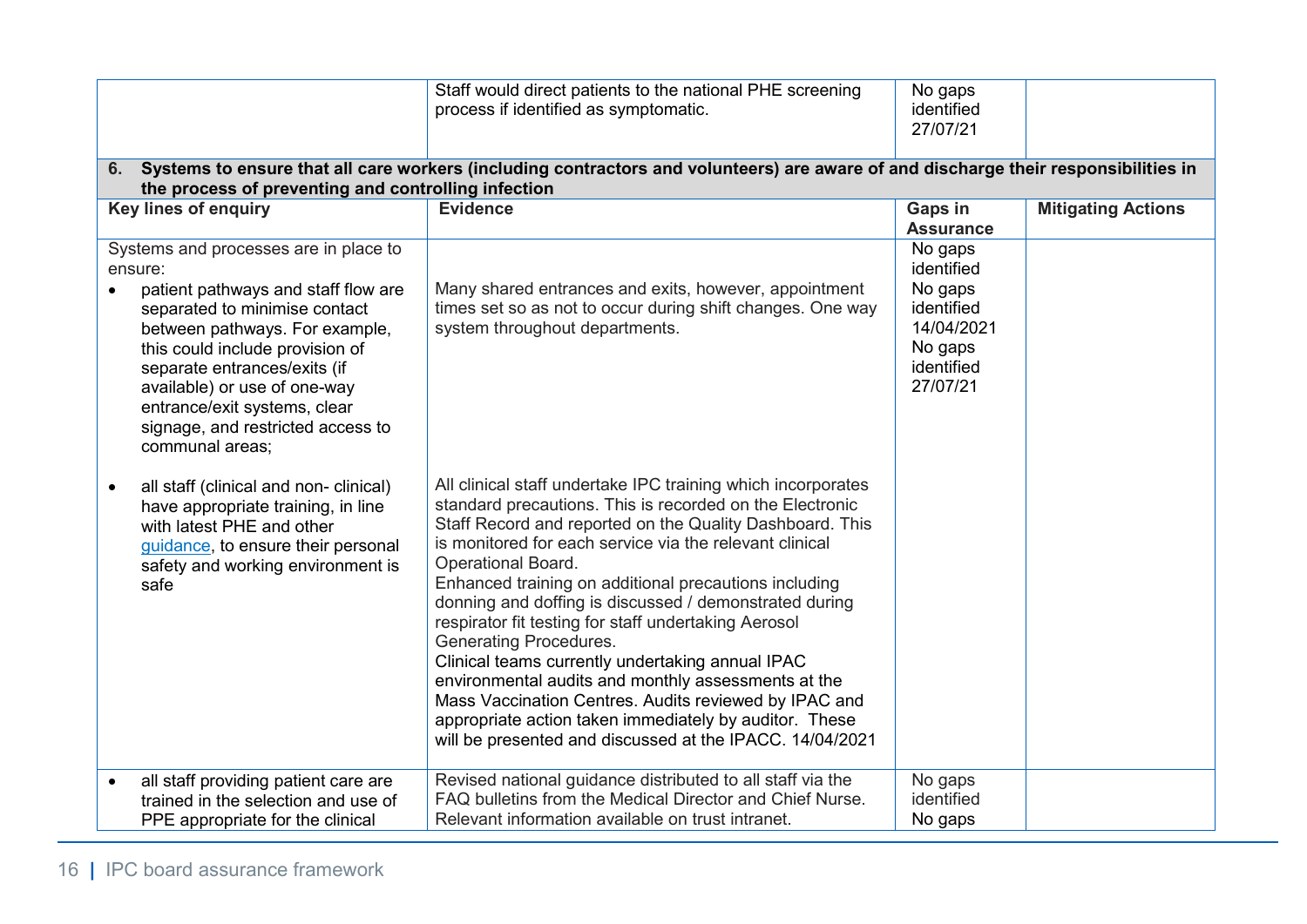|                                                                                                                                                                                                                                                                                                                                                       | Staff would direct patients to the national PHE screening<br>process if identified as symptomatic.                                                                                                                                                                                                                                                                                                                                                                                                                                                                                                                                                                                                                                                                                 | No gaps<br>identified<br>27/07/21                                                                 |                           |
|-------------------------------------------------------------------------------------------------------------------------------------------------------------------------------------------------------------------------------------------------------------------------------------------------------------------------------------------------------|------------------------------------------------------------------------------------------------------------------------------------------------------------------------------------------------------------------------------------------------------------------------------------------------------------------------------------------------------------------------------------------------------------------------------------------------------------------------------------------------------------------------------------------------------------------------------------------------------------------------------------------------------------------------------------------------------------------------------------------------------------------------------------|---------------------------------------------------------------------------------------------------|---------------------------|
| 6.<br>the process of preventing and controlling infection                                                                                                                                                                                                                                                                                             | Systems to ensure that all care workers (including contractors and volunteers) are aware of and discharge their responsibilities in                                                                                                                                                                                                                                                                                                                                                                                                                                                                                                                                                                                                                                                |                                                                                                   |                           |
| <b>Key lines of enquiry</b>                                                                                                                                                                                                                                                                                                                           | <b>Evidence</b>                                                                                                                                                                                                                                                                                                                                                                                                                                                                                                                                                                                                                                                                                                                                                                    | <b>Gaps in</b><br><b>Assurance</b>                                                                | <b>Mitigating Actions</b> |
| Systems and processes are in place to<br>ensure:<br>patient pathways and staff flow are<br>separated to minimise contact<br>between pathways. For example,<br>this could include provision of<br>separate entrances/exits (if<br>available) or use of one-way<br>entrance/exit systems, clear<br>signage, and restricted access to<br>communal areas; | Many shared entrances and exits, however, appointment<br>times set so as not to occur during shift changes. One way<br>system throughout departments.                                                                                                                                                                                                                                                                                                                                                                                                                                                                                                                                                                                                                              | No gaps<br>identified<br>No gaps<br>identified<br>14/04/2021<br>No gaps<br>identified<br>27/07/21 |                           |
| all staff (clinical and non- clinical)<br>have appropriate training, in line<br>with latest PHE and other<br>guidance, to ensure their personal<br>safety and working environment is<br>safe                                                                                                                                                          | All clinical staff undertake IPC training which incorporates<br>standard precautions. This is recorded on the Electronic<br>Staff Record and reported on the Quality Dashboard. This<br>is monitored for each service via the relevant clinical<br><b>Operational Board.</b><br>Enhanced training on additional precautions including<br>donning and doffing is discussed / demonstrated during<br>respirator fit testing for staff undertaking Aerosol<br><b>Generating Procedures.</b><br>Clinical teams currently undertaking annual IPAC<br>environmental audits and monthly assessments at the<br>Mass Vaccination Centres. Audits reviewed by IPAC and<br>appropriate action taken immediately by auditor. These<br>will be presented and discussed at the IPACC. 14/04/2021 |                                                                                                   |                           |
| all staff providing patient care are<br>$\bullet$<br>trained in the selection and use of<br>PPE appropriate for the clinical                                                                                                                                                                                                                          | Revised national guidance distributed to all staff via the<br>FAQ bulletins from the Medical Director and Chief Nurse.<br>Relevant information available on trust intranet.                                                                                                                                                                                                                                                                                                                                                                                                                                                                                                                                                                                                        | No gaps<br>identified<br>No gaps                                                                  |                           |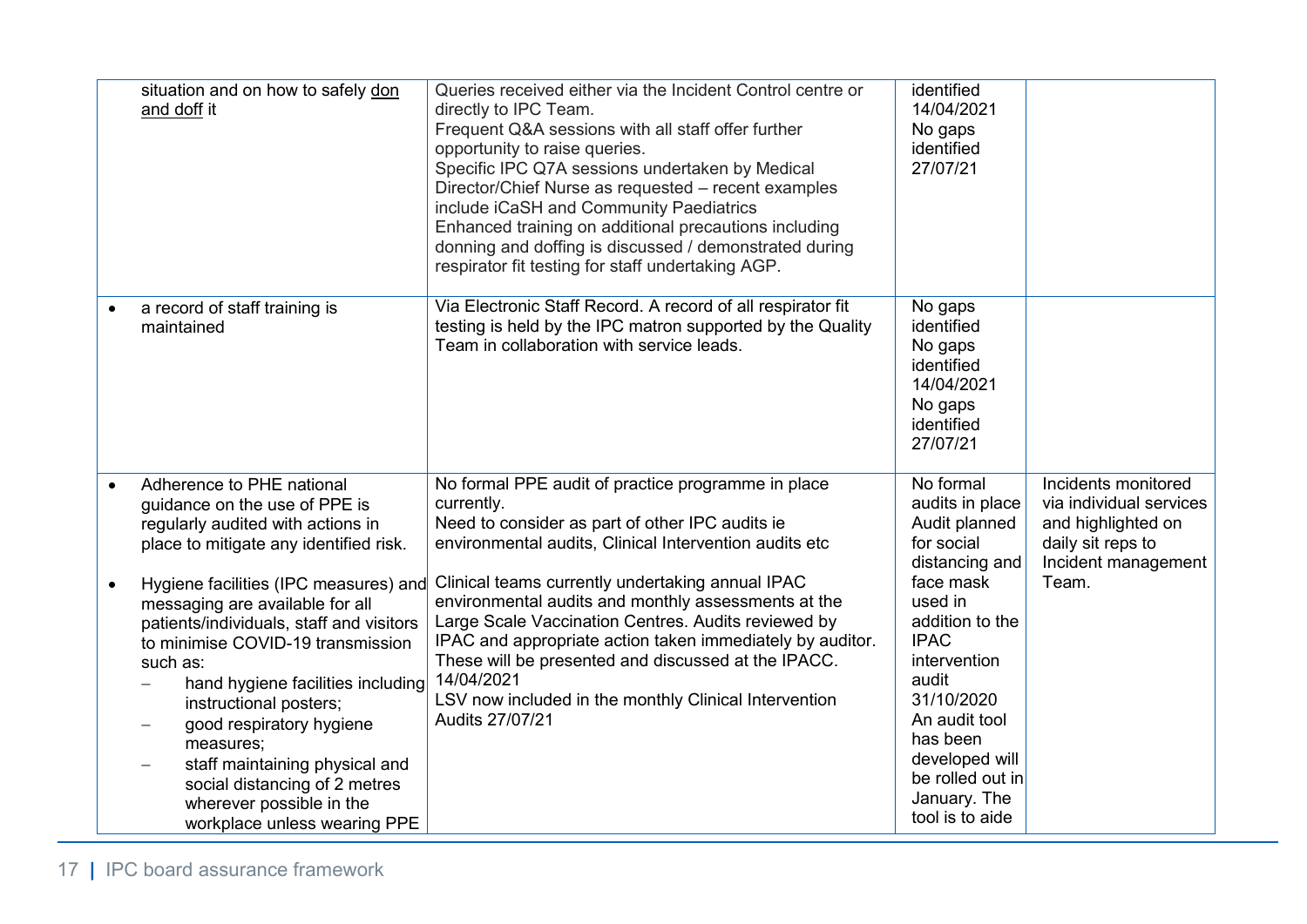| situation and on how to safely don<br>and doff it                                                                                                                                                                                                                                                                                                                                                                                                                    | Queries received either via the Incident Control centre or<br>directly to IPC Team.<br>Frequent Q&A sessions with all staff offer further<br>opportunity to raise queries.<br>Specific IPC Q7A sessions undertaken by Medical<br>Director/Chief Nurse as requested - recent examples<br>include iCaSH and Community Paediatrics<br>Enhanced training on additional precautions including<br>donning and doffing is discussed / demonstrated during<br>respirator fit testing for staff undertaking AGP. | identified<br>14/04/2021<br>No gaps<br>identified<br>27/07/21                                                                                                                                       |                                                                                                                  |
|----------------------------------------------------------------------------------------------------------------------------------------------------------------------------------------------------------------------------------------------------------------------------------------------------------------------------------------------------------------------------------------------------------------------------------------------------------------------|---------------------------------------------------------------------------------------------------------------------------------------------------------------------------------------------------------------------------------------------------------------------------------------------------------------------------------------------------------------------------------------------------------------------------------------------------------------------------------------------------------|-----------------------------------------------------------------------------------------------------------------------------------------------------------------------------------------------------|------------------------------------------------------------------------------------------------------------------|
| a record of staff training is<br>maintained                                                                                                                                                                                                                                                                                                                                                                                                                          | Via Electronic Staff Record. A record of all respirator fit<br>testing is held by the IPC matron supported by the Quality<br>Team in collaboration with service leads.                                                                                                                                                                                                                                                                                                                                  | No gaps<br>identified<br>No gaps<br>identified<br>14/04/2021<br>No gaps<br>identified<br>27/07/21                                                                                                   |                                                                                                                  |
| Adherence to PHE national<br>guidance on the use of PPE is<br>regularly audited with actions in<br>place to mitigate any identified risk.                                                                                                                                                                                                                                                                                                                            | No formal PPE audit of practice programme in place<br>currently.<br>Need to consider as part of other IPC audits ie<br>environmental audits, Clinical Intervention audits etc                                                                                                                                                                                                                                                                                                                           | No formal<br>audits in place<br>Audit planned<br>for social<br>distancing and                                                                                                                       | Incidents monitored<br>via individual services<br>and highlighted on<br>daily sit reps to<br>Incident management |
| Hygiene facilities (IPC measures) and<br>messaging are available for all<br>patients/individuals, staff and visitors<br>to minimise COVID-19 transmission<br>such as:<br>hand hygiene facilities including<br>instructional posters;<br>good respiratory hygiene<br>$\overline{\phantom{0}}$<br>measures;<br>staff maintaining physical and<br>$\overline{\phantom{0}}$<br>social distancing of 2 metres<br>wherever possible in the<br>workplace unless wearing PPE | Clinical teams currently undertaking annual IPAC<br>environmental audits and monthly assessments at the<br>Large Scale Vaccination Centres. Audits reviewed by<br>IPAC and appropriate action taken immediately by auditor.<br>These will be presented and discussed at the IPACC.<br>14/04/2021<br>LSV now included in the monthly Clinical Intervention<br>Audits 27/07/21                                                                                                                            | face mask<br>used in<br>addition to the<br><b>IPAC</b><br>intervention<br>audit<br>31/10/2020<br>An audit tool<br>has been<br>developed will<br>be rolled out in<br>January. The<br>tool is to aide | Team.                                                                                                            |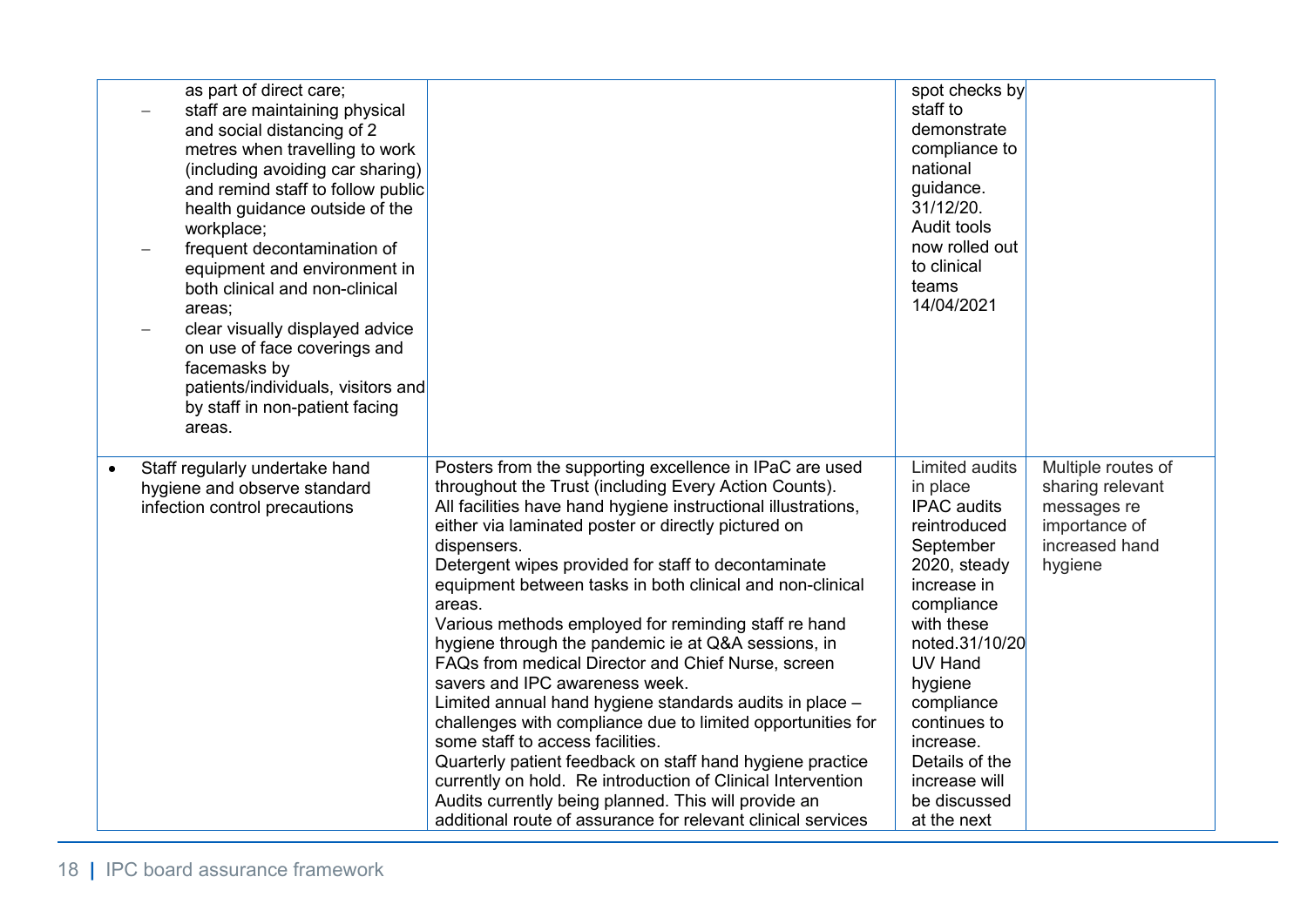| as part of direct care;<br>staff are maintaining physical<br>and social distancing of 2<br>metres when travelling to work<br>(including avoiding car sharing)<br>and remind staff to follow public<br>health guidance outside of the<br>workplace;<br>frequent decontamination of<br>equipment and environment in<br>both clinical and non-clinical<br>areas;<br>clear visually displayed advice<br>on use of face coverings and<br>facemasks by<br>patients/individuals, visitors and<br>by staff in non-patient facing<br>areas. |                                                                                                                                                                                                                                                                                                                                                                                                                                                                                                                                                                                                                                                                                                                                                                                                                                                                                                                                                                                                                | spot checks by<br>staff to<br>demonstrate<br>compliance to<br>national<br>guidance.<br>31/12/20.<br>Audit tools<br>now rolled out<br>to clinical<br>teams<br>14/04/2021                                                                                                                              |                                                                                                     |
|------------------------------------------------------------------------------------------------------------------------------------------------------------------------------------------------------------------------------------------------------------------------------------------------------------------------------------------------------------------------------------------------------------------------------------------------------------------------------------------------------------------------------------|----------------------------------------------------------------------------------------------------------------------------------------------------------------------------------------------------------------------------------------------------------------------------------------------------------------------------------------------------------------------------------------------------------------------------------------------------------------------------------------------------------------------------------------------------------------------------------------------------------------------------------------------------------------------------------------------------------------------------------------------------------------------------------------------------------------------------------------------------------------------------------------------------------------------------------------------------------------------------------------------------------------|------------------------------------------------------------------------------------------------------------------------------------------------------------------------------------------------------------------------------------------------------------------------------------------------------|-----------------------------------------------------------------------------------------------------|
| Staff regularly undertake hand<br>hygiene and observe standard<br>infection control precautions                                                                                                                                                                                                                                                                                                                                                                                                                                    | Posters from the supporting excellence in IPaC are used<br>throughout the Trust (including Every Action Counts).<br>All facilities have hand hygiene instructional illustrations,<br>either via laminated poster or directly pictured on<br>dispensers.<br>Detergent wipes provided for staff to decontaminate<br>equipment between tasks in both clinical and non-clinical<br>areas.<br>Various methods employed for reminding staff re hand<br>hygiene through the pandemic ie at Q&A sessions, in<br>FAQs from medical Director and Chief Nurse, screen<br>savers and IPC awareness week.<br>Limited annual hand hygiene standards audits in place -<br>challenges with compliance due to limited opportunities for<br>some staff to access facilities.<br>Quarterly patient feedback on staff hand hygiene practice<br>currently on hold. Re introduction of Clinical Intervention<br>Audits currently being planned. This will provide an<br>additional route of assurance for relevant clinical services | <b>Limited audits</b><br>in place<br><b>IPAC</b> audits<br>reintroduced<br>September<br>2020, steady<br>increase in<br>compliance<br>with these<br>noted.31/10/20<br>UV Hand<br>hygiene<br>compliance<br>continues to<br>increase.<br>Details of the<br>increase will<br>be discussed<br>at the next | Multiple routes of<br>sharing relevant<br>messages re<br>importance of<br>increased hand<br>hygiene |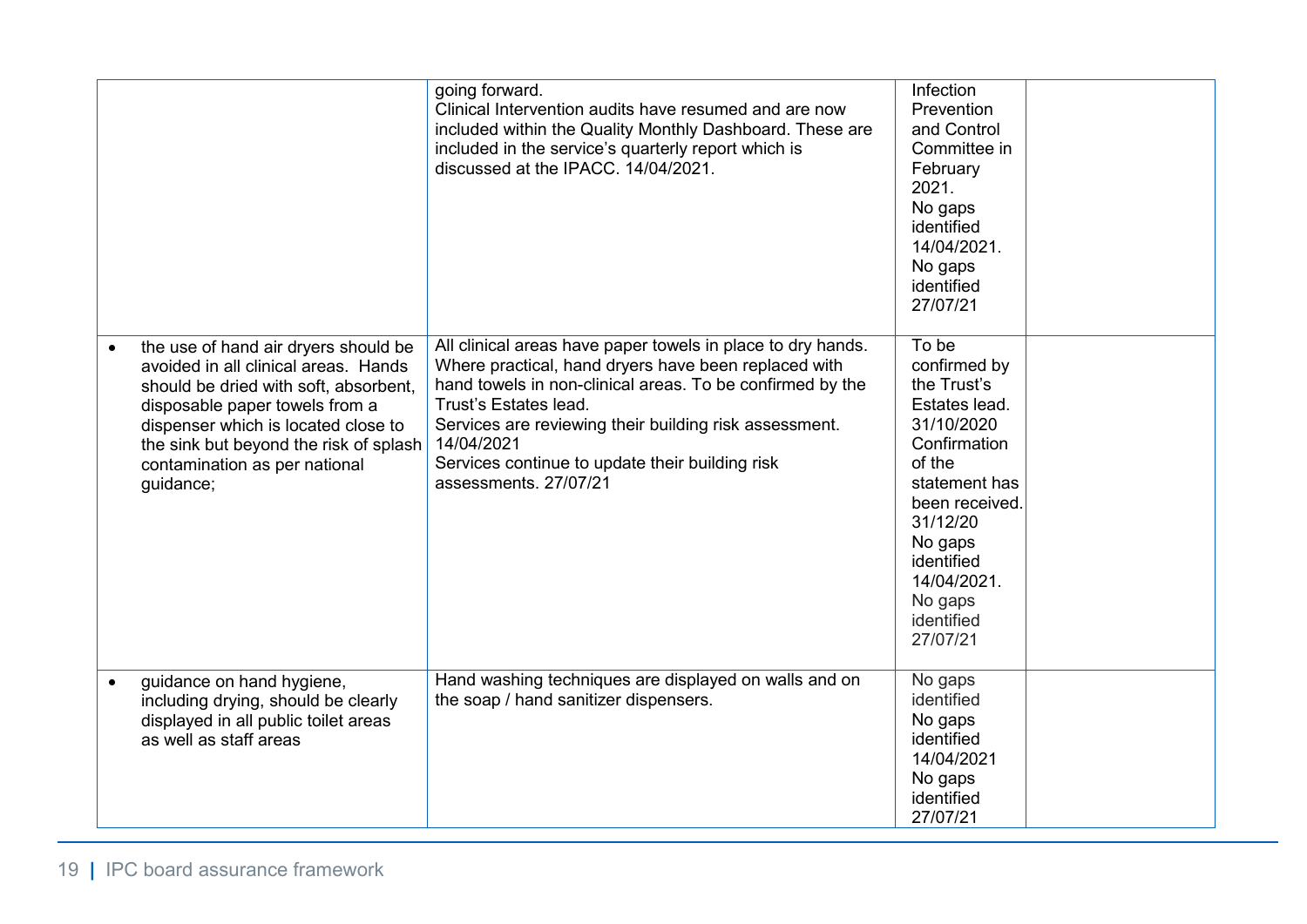|                                                                                                                                                                                                                                                                                        | going forward.<br>Clinical Intervention audits have resumed and are now<br>included within the Quality Monthly Dashboard. These are<br>included in the service's quarterly report which is<br>discussed at the IPACC. 14/04/2021.                                                                                                                             | Infection<br>Prevention<br>and Control<br>Committee in<br>February<br>2021.<br>No gaps<br>identified<br>14/04/2021.<br>No gaps<br>identified<br>27/07/21                                                                  |  |
|----------------------------------------------------------------------------------------------------------------------------------------------------------------------------------------------------------------------------------------------------------------------------------------|---------------------------------------------------------------------------------------------------------------------------------------------------------------------------------------------------------------------------------------------------------------------------------------------------------------------------------------------------------------|---------------------------------------------------------------------------------------------------------------------------------------------------------------------------------------------------------------------------|--|
| the use of hand air dryers should be<br>avoided in all clinical areas. Hands<br>should be dried with soft, absorbent,<br>disposable paper towels from a<br>dispenser which is located close to<br>the sink but beyond the risk of splash<br>contamination as per national<br>guidance; | All clinical areas have paper towels in place to dry hands.<br>Where practical, hand dryers have been replaced with<br>hand towels in non-clinical areas. To be confirmed by the<br>Trust's Estates lead.<br>Services are reviewing their building risk assessment.<br>14/04/2021<br>Services continue to update their building risk<br>assessments, 27/07/21 | To be<br>confirmed by<br>the Trust's<br>Estates lead.<br>31/10/2020<br>Confirmation<br>of the<br>statement has<br>been received.<br>31/12/20<br>No gaps<br>identified<br>14/04/2021.<br>No gaps<br>identified<br>27/07/21 |  |
| guidance on hand hygiene,<br>including drying, should be clearly<br>displayed in all public toilet areas<br>as well as staff areas                                                                                                                                                     | Hand washing techniques are displayed on walls and on<br>the soap / hand sanitizer dispensers.                                                                                                                                                                                                                                                                | No gaps<br>identified<br>No gaps<br>identified<br>14/04/2021<br>No gaps<br>identified<br>27/07/21                                                                                                                         |  |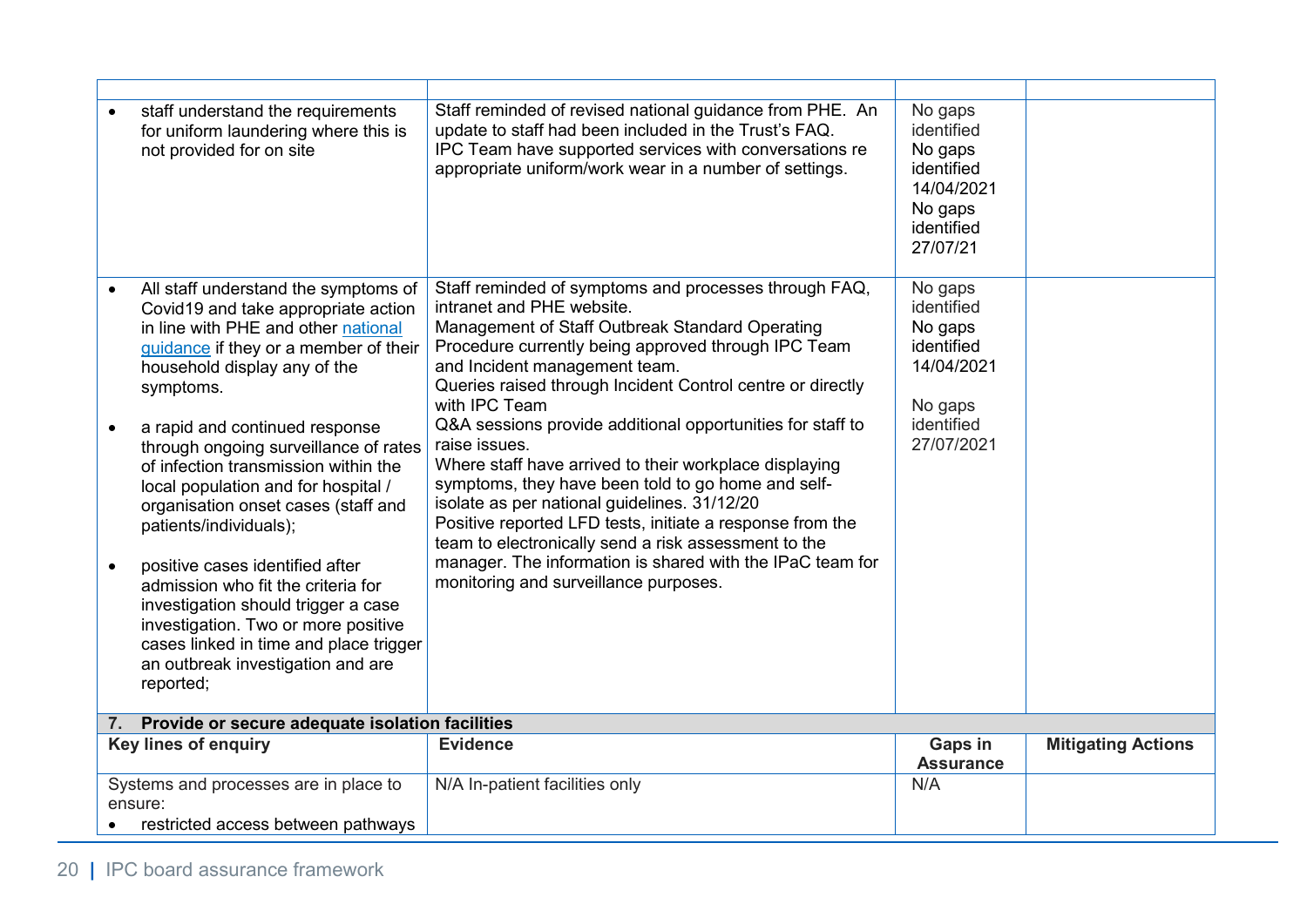| staff understand the requirements<br>for uniform laundering where this is<br>not provided for on site                                                                                                                                           | Staff reminded of revised national guidance from PHE. An<br>update to staff had been included in the Trust's FAQ.<br>IPC Team have supported services with conversations re<br>appropriate uniform/work wear in a number of settings.                                                                                                                            | No gaps<br>identified<br>No gaps<br>identified<br>14/04/2021<br>No gaps<br>identified<br>27/07/21 |                           |
|-------------------------------------------------------------------------------------------------------------------------------------------------------------------------------------------------------------------------------------------------|------------------------------------------------------------------------------------------------------------------------------------------------------------------------------------------------------------------------------------------------------------------------------------------------------------------------------------------------------------------|---------------------------------------------------------------------------------------------------|---------------------------|
| All staff understand the symptoms of<br>Covid19 and take appropriate action<br>in line with PHE and other national<br>guidance if they or a member of their<br>household display any of the<br>symptoms.                                        | Staff reminded of symptoms and processes through FAQ,<br>intranet and PHE website.<br>Management of Staff Outbreak Standard Operating<br>Procedure currently being approved through IPC Team<br>and Incident management team.<br>Queries raised through Incident Control centre or directly<br>with IPC Team                                                     | No gaps<br>identified<br>No gaps<br>identified<br>14/04/2021<br>No gaps<br>identified             |                           |
| a rapid and continued response<br>through ongoing surveillance of rates<br>of infection transmission within the<br>local population and for hospital /<br>organisation onset cases (staff and<br>patients/individuals);                         | Q&A sessions provide additional opportunities for staff to<br>raise issues.<br>Where staff have arrived to their workplace displaying<br>symptoms, they have been told to go home and self-<br>isolate as per national guidelines. 31/12/20<br>Positive reported LFD tests, initiate a response from the<br>team to electronically send a risk assessment to the | 27/07/2021                                                                                        |                           |
| positive cases identified after<br>admission who fit the criteria for<br>investigation should trigger a case<br>investigation. Two or more positive<br>cases linked in time and place trigger<br>an outbreak investigation and are<br>reported; | manager. The information is shared with the IPaC team for<br>monitoring and surveillance purposes.                                                                                                                                                                                                                                                               |                                                                                                   |                           |
| 7. Provide or secure adequate isolation facilities                                                                                                                                                                                              |                                                                                                                                                                                                                                                                                                                                                                  |                                                                                                   |                           |
| <b>Key lines of enquiry</b>                                                                                                                                                                                                                     | <b>Evidence</b>                                                                                                                                                                                                                                                                                                                                                  | <b>Gaps in</b><br><b>Assurance</b>                                                                | <b>Mitigating Actions</b> |
| Systems and processes are in place to<br>ensure:<br>restricted access between pathways                                                                                                                                                          | N/A In-patient facilities only                                                                                                                                                                                                                                                                                                                                   | N/A                                                                                               |                           |
|                                                                                                                                                                                                                                                 |                                                                                                                                                                                                                                                                                                                                                                  |                                                                                                   |                           |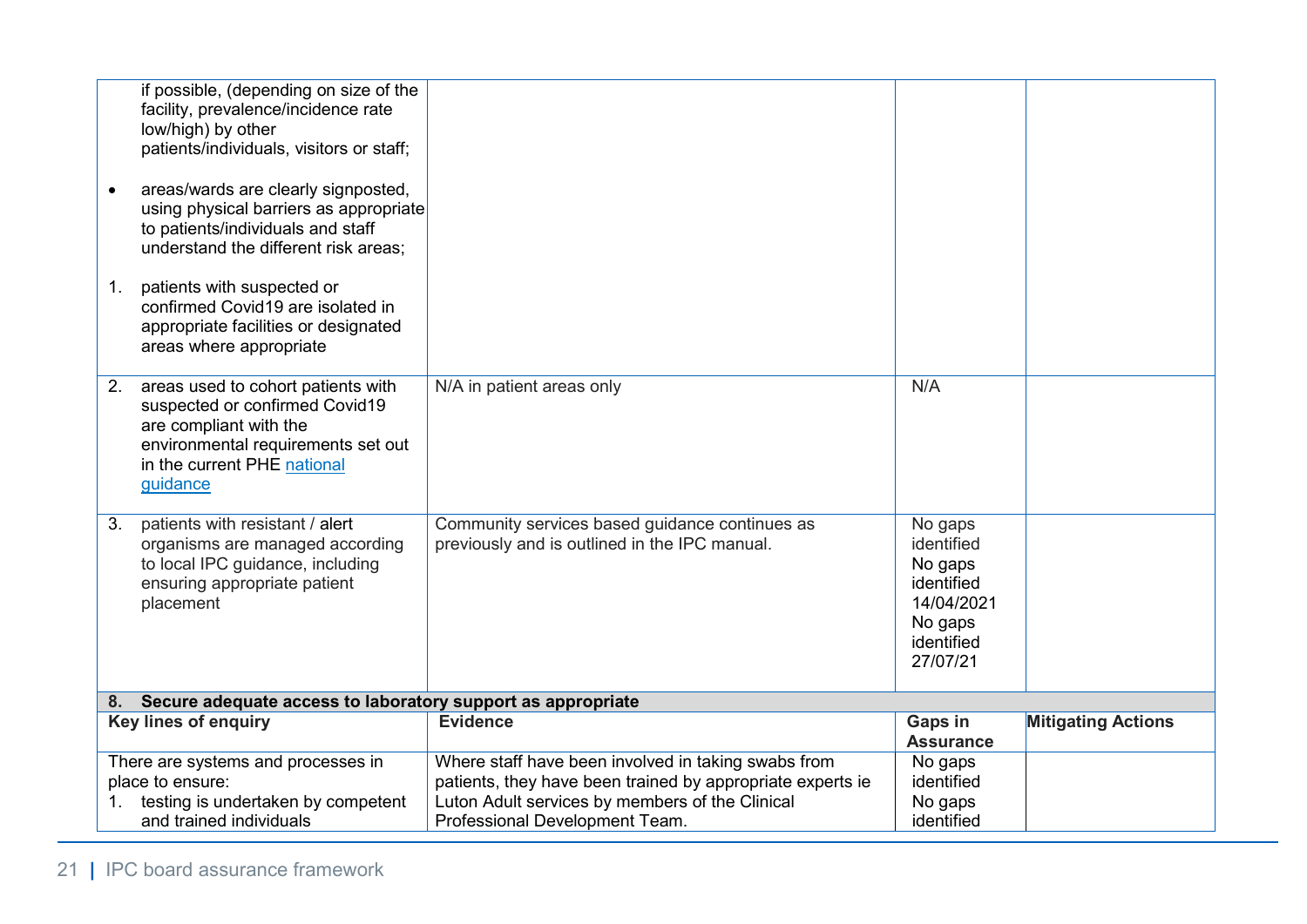| if possible, (depending on size of the<br>facility, prevalence/incidence rate<br>low/high) by other<br>patients/individuals, visitors or staff;<br>areas/wards are clearly signposted,<br>using physical barriers as appropriate<br>to patients/individuals and staff<br>understand the different risk areas;<br>patients with suspected or<br>1.<br>confirmed Covid19 are isolated in<br>appropriate facilities or designated<br>areas where appropriate |                                                                                                                                                                                                        |                                                                                                   |                           |
|-----------------------------------------------------------------------------------------------------------------------------------------------------------------------------------------------------------------------------------------------------------------------------------------------------------------------------------------------------------------------------------------------------------------------------------------------------------|--------------------------------------------------------------------------------------------------------------------------------------------------------------------------------------------------------|---------------------------------------------------------------------------------------------------|---------------------------|
| areas used to cohort patients with<br>2.<br>suspected or confirmed Covid19<br>are compliant with the<br>environmental requirements set out<br>in the current PHE national<br>guidance                                                                                                                                                                                                                                                                     | N/A in patient areas only                                                                                                                                                                              | N/A                                                                                               |                           |
| patients with resistant / alert<br>3.<br>organisms are managed according<br>to local IPC guidance, including<br>ensuring appropriate patient<br>placement                                                                                                                                                                                                                                                                                                 | Community services based guidance continues as<br>previously and is outlined in the IPC manual.                                                                                                        | No gaps<br>identified<br>No gaps<br>identified<br>14/04/2021<br>No gaps<br>identified<br>27/07/21 |                           |
| 8. Secure adequate access to laboratory support as appropriate                                                                                                                                                                                                                                                                                                                                                                                            |                                                                                                                                                                                                        |                                                                                                   |                           |
| <b>Key lines of enquiry</b>                                                                                                                                                                                                                                                                                                                                                                                                                               | <b>Evidence</b>                                                                                                                                                                                        | Gaps in<br><b>Assurance</b>                                                                       | <b>Mitigating Actions</b> |
| There are systems and processes in<br>place to ensure:<br>testing is undertaken by competent<br>1.<br>and trained individuals                                                                                                                                                                                                                                                                                                                             | Where staff have been involved in taking swabs from<br>patients, they have been trained by appropriate experts ie<br>Luton Adult services by members of the Clinical<br>Professional Development Team. | No gaps<br>identified<br>No gaps<br>identified                                                    |                           |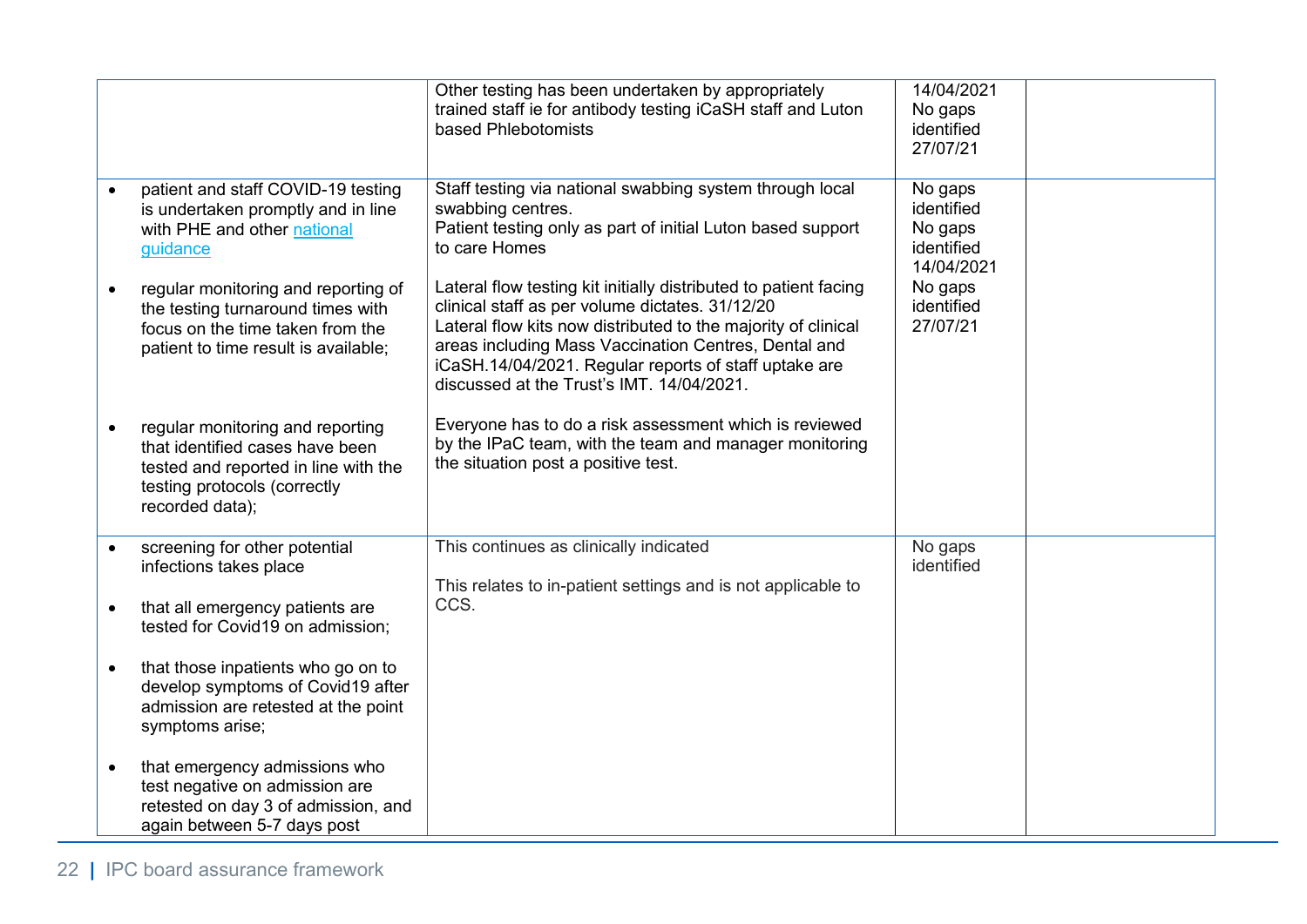|                                                                                                                                                                | Other testing has been undertaken by appropriately<br>trained staff ie for antibody testing iCaSH staff and Luton<br>based Phlebotomists                                                                                                                                                                                                           | 14/04/2021<br>No gaps<br>identified<br>27/07/21              |  |
|----------------------------------------------------------------------------------------------------------------------------------------------------------------|----------------------------------------------------------------------------------------------------------------------------------------------------------------------------------------------------------------------------------------------------------------------------------------------------------------------------------------------------|--------------------------------------------------------------|--|
| patient and staff COVID-19 testing<br>is undertaken promptly and in line<br>with PHE and other national<br>guidance                                            | Staff testing via national swabbing system through local<br>swabbing centres.<br>Patient testing only as part of initial Luton based support<br>to care Homes                                                                                                                                                                                      | No gaps<br>identified<br>No gaps<br>identified<br>14/04/2021 |  |
| regular monitoring and reporting of<br>the testing turnaround times with<br>focus on the time taken from the<br>patient to time result is available;           | Lateral flow testing kit initially distributed to patient facing<br>clinical staff as per volume dictates. 31/12/20<br>Lateral flow kits now distributed to the majority of clinical<br>areas including Mass Vaccination Centres, Dental and<br>iCaSH.14/04/2021. Regular reports of staff uptake are<br>discussed at the Trust's IMT. 14/04/2021. | No gaps<br>identified<br>27/07/21                            |  |
| regular monitoring and reporting<br>that identified cases have been<br>tested and reported in line with the<br>testing protocols (correctly<br>recorded data); | Everyone has to do a risk assessment which is reviewed<br>by the IPaC team, with the team and manager monitoring<br>the situation post a positive test.                                                                                                                                                                                            |                                                              |  |
| screening for other potential<br>infections takes place                                                                                                        | This continues as clinically indicated<br>This relates to in-patient settings and is not applicable to                                                                                                                                                                                                                                             | No gaps<br>identified                                        |  |
| that all emergency patients are<br>tested for Covid19 on admission;                                                                                            | CCS.                                                                                                                                                                                                                                                                                                                                               |                                                              |  |
| that those inpatients who go on to<br>develop symptoms of Covid19 after<br>admission are retested at the point<br>symptoms arise;                              |                                                                                                                                                                                                                                                                                                                                                    |                                                              |  |
| that emergency admissions who<br>test negative on admission are<br>retested on day 3 of admission, and<br>again between 5-7 days post                          |                                                                                                                                                                                                                                                                                                                                                    |                                                              |  |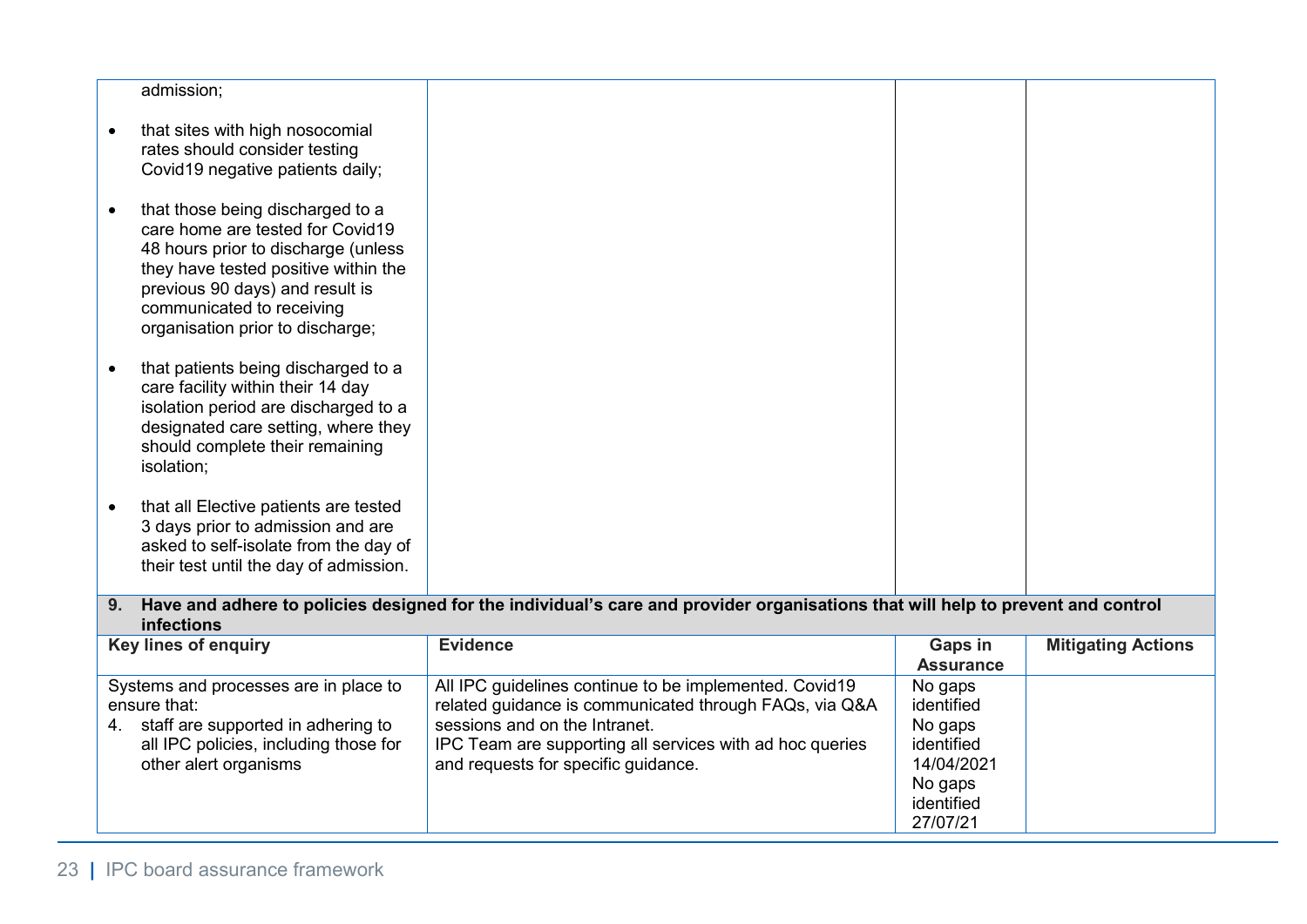|           | admission;                                                                                                                                                                                                                                              |                                                                                                                                                                                                                                                      |                                                                                                   |                           |
|-----------|---------------------------------------------------------------------------------------------------------------------------------------------------------------------------------------------------------------------------------------------------------|------------------------------------------------------------------------------------------------------------------------------------------------------------------------------------------------------------------------------------------------------|---------------------------------------------------------------------------------------------------|---------------------------|
|           | that sites with high nosocomial<br>rates should consider testing<br>Covid19 negative patients daily;                                                                                                                                                    |                                                                                                                                                                                                                                                      |                                                                                                   |                           |
|           | that those being discharged to a<br>care home are tested for Covid19<br>48 hours prior to discharge (unless<br>they have tested positive within the<br>previous 90 days) and result is<br>communicated to receiving<br>organisation prior to discharge; |                                                                                                                                                                                                                                                      |                                                                                                   |                           |
| $\bullet$ | that patients being discharged to a<br>care facility within their 14 day<br>isolation period are discharged to a<br>designated care setting, where they<br>should complete their remaining<br>isolation;                                                |                                                                                                                                                                                                                                                      |                                                                                                   |                           |
|           | that all Elective patients are tested<br>3 days prior to admission and are<br>asked to self-isolate from the day of<br>their test until the day of admission.                                                                                           |                                                                                                                                                                                                                                                      |                                                                                                   |                           |
| 9.        | infections                                                                                                                                                                                                                                              | Have and adhere to policies designed for the individual's care and provider organisations that will help to prevent and control                                                                                                                      |                                                                                                   |                           |
|           | Key lines of enquiry                                                                                                                                                                                                                                    | <b>Evidence</b>                                                                                                                                                                                                                                      | <b>Gaps in</b><br><b>Assurance</b>                                                                | <b>Mitigating Actions</b> |
|           | Systems and processes are in place to<br>ensure that:<br>4. staff are supported in adhering to<br>all IPC policies, including those for<br>other alert organisms                                                                                        | All IPC guidelines continue to be implemented. Covid19<br>related guidance is communicated through FAQs, via Q&A<br>sessions and on the Intranet.<br>IPC Team are supporting all services with ad hoc queries<br>and requests for specific guidance. | No gaps<br>identified<br>No gaps<br>identified<br>14/04/2021<br>No gaps<br>identified<br>27/07/21 |                           |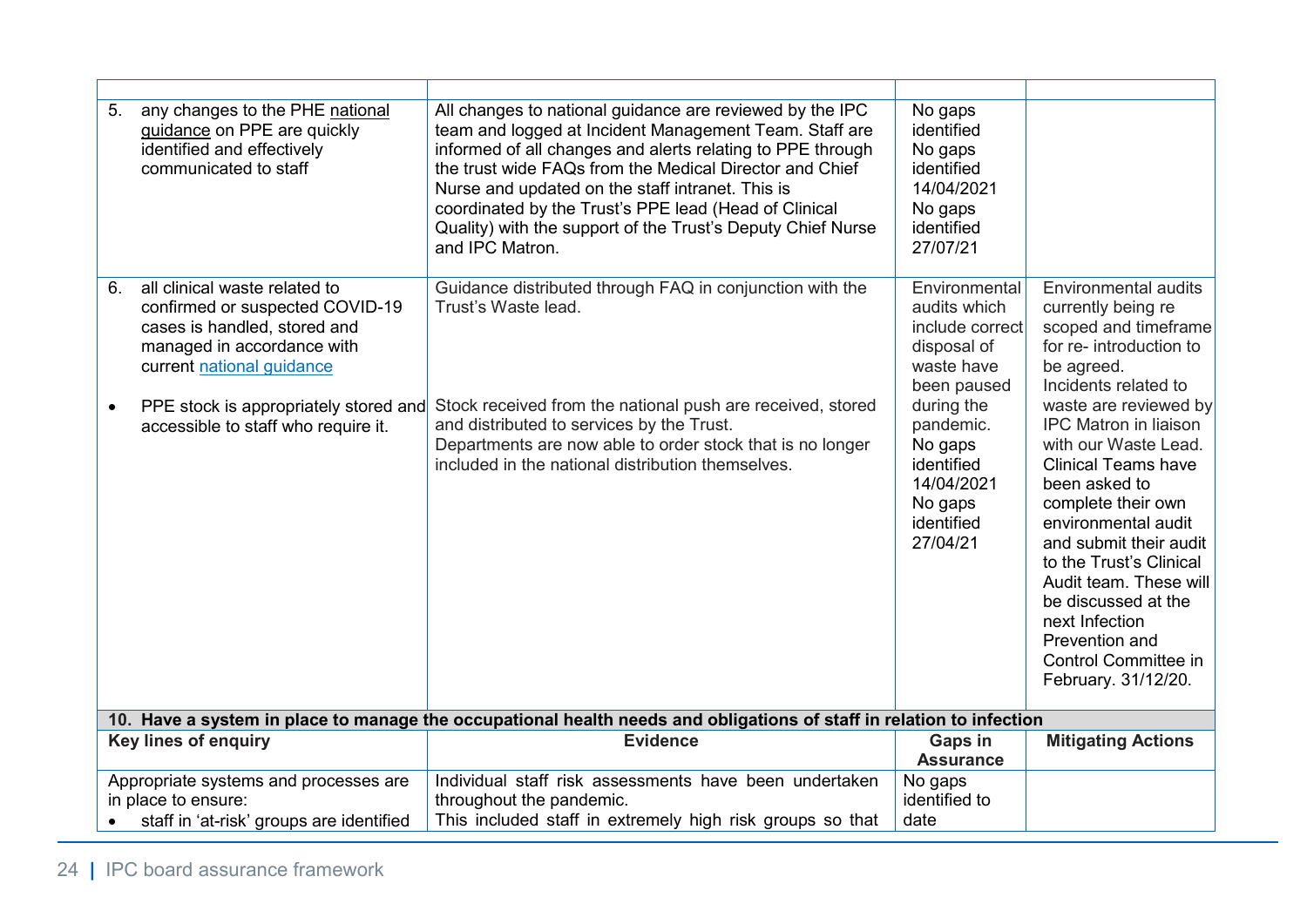| 5.<br>6. | any changes to the PHE national<br>guidance on PPE are quickly<br>identified and effectively<br>communicated to staff<br>all clinical waste related to              | All changes to national guidance are reviewed by the IPC<br>team and logged at Incident Management Team. Staff are<br>informed of all changes and alerts relating to PPE through<br>the trust wide FAQs from the Medical Director and Chief<br>Nurse and updated on the staff intranet. This is<br>coordinated by the Trust's PPE lead (Head of Clinical<br>Quality) with the support of the Trust's Deputy Chief Nurse<br>and IPC Matron.<br>Guidance distributed through FAQ in conjunction with the | No gaps<br>identified<br>No gaps<br>identified<br>14/04/2021<br>No gaps<br>identified<br>27/07/21<br>Environmental | Environmental audits                                                                                                                                                                                                                                                                                                                      |  |
|----------|---------------------------------------------------------------------------------------------------------------------------------------------------------------------|--------------------------------------------------------------------------------------------------------------------------------------------------------------------------------------------------------------------------------------------------------------------------------------------------------------------------------------------------------------------------------------------------------------------------------------------------------------------------------------------------------|--------------------------------------------------------------------------------------------------------------------|-------------------------------------------------------------------------------------------------------------------------------------------------------------------------------------------------------------------------------------------------------------------------------------------------------------------------------------------|--|
|          | confirmed or suspected COVID-19<br>cases is handled, stored and<br>managed in accordance with<br>current national guidance<br>PPE stock is appropriately stored and | Trust's Waste lead.<br>Stock received from the national push are received, stored                                                                                                                                                                                                                                                                                                                                                                                                                      | audits which<br>include correct<br>disposal of<br>waste have<br>been paused<br>during the                          | currently being re<br>scoped and timeframe<br>for re- introduction to<br>be agreed.<br>Incidents related to<br>waste are reviewed by                                                                                                                                                                                                      |  |
|          | accessible to staff who require it.                                                                                                                                 | and distributed to services by the Trust.<br>Departments are now able to order stock that is no longer<br>included in the national distribution themselves.                                                                                                                                                                                                                                                                                                                                            | pandemic.<br>No gaps<br>identified<br>14/04/2021<br>No gaps<br>identified<br>27/04/21                              | <b>IPC Matron in liaison</b><br>with our Waste Lead.<br><b>Clinical Teams have</b><br>been asked to<br>complete their own<br>environmental audit<br>and submit their audit<br>to the Trust's Clinical<br>Audit team. These will<br>be discussed at the<br>next Infection<br>Prevention and<br>Control Committee in<br>February. 31/12/20. |  |
|          | 10. Have a system in place to manage the occupational health needs and obligations of staff in relation to infection                                                |                                                                                                                                                                                                                                                                                                                                                                                                                                                                                                        |                                                                                                                    |                                                                                                                                                                                                                                                                                                                                           |  |
|          | <b>Key lines of enquiry</b>                                                                                                                                         | <b>Evidence</b>                                                                                                                                                                                                                                                                                                                                                                                                                                                                                        | Gaps in<br><b>Assurance</b>                                                                                        | <b>Mitigating Actions</b>                                                                                                                                                                                                                                                                                                                 |  |
|          | Appropriate systems and processes are<br>in place to ensure:<br>staff in 'at-risk' groups are identified                                                            | Individual staff risk assessments have been undertaken<br>throughout the pandemic.<br>This included staff in extremely high risk groups so that                                                                                                                                                                                                                                                                                                                                                        | No gaps<br>identified to<br>date                                                                                   |                                                                                                                                                                                                                                                                                                                                           |  |
|          |                                                                                                                                                                     |                                                                                                                                                                                                                                                                                                                                                                                                                                                                                                        |                                                                                                                    |                                                                                                                                                                                                                                                                                                                                           |  |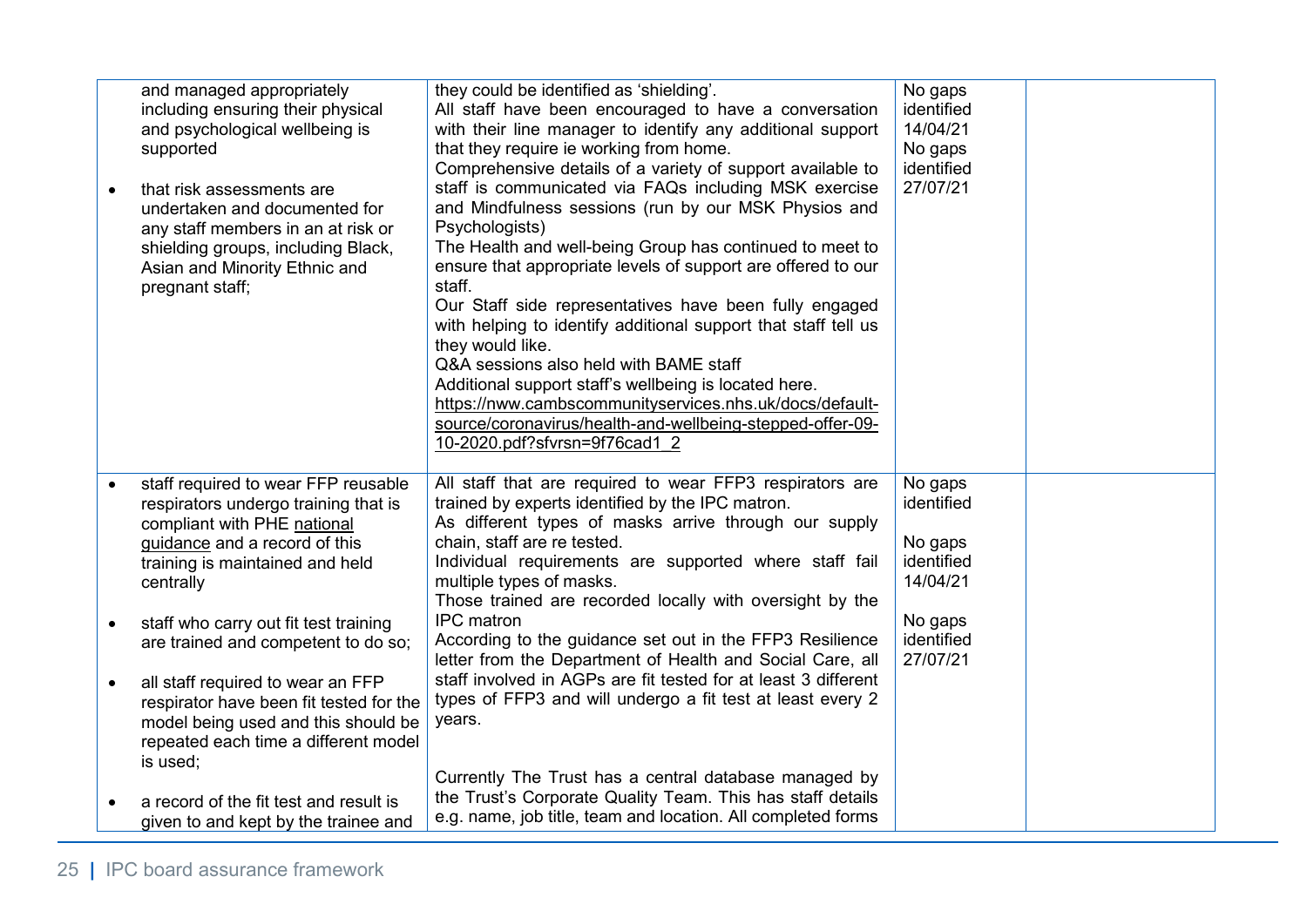| $\bullet$ | and managed appropriately<br>including ensuring their physical<br>and psychological wellbeing is<br>supported<br>that risk assessments are<br>undertaken and documented for<br>any staff members in an at risk or<br>shielding groups, including Black,<br>Asian and Minority Ethnic and<br>pregnant staff; | they could be identified as 'shielding'.<br>All staff have been encouraged to have a conversation<br>with their line manager to identify any additional support<br>that they require ie working from home.<br>Comprehensive details of a variety of support available to<br>staff is communicated via FAQs including MSK exercise<br>and Mindfulness sessions (run by our MSK Physios and<br>Psychologists)<br>The Health and well-being Group has continued to meet to<br>ensure that appropriate levels of support are offered to our<br>staff.<br>Our Staff side representatives have been fully engaged<br>with helping to identify additional support that staff tell us<br>they would like.<br>Q&A sessions also held with BAME staff<br>Additional support staff's wellbeing is located here.<br>https://nww.cambscommunityservices.nhs.uk/docs/default-<br>source/coronavirus/health-and-wellbeing-stepped-offer-09-<br>10-2020.pdf?sfvrsn=9f76cad1 2 | No gaps<br>identified<br>14/04/21<br>No gaps<br>identified<br>27/07/21 |  |
|-----------|-------------------------------------------------------------------------------------------------------------------------------------------------------------------------------------------------------------------------------------------------------------------------------------------------------------|---------------------------------------------------------------------------------------------------------------------------------------------------------------------------------------------------------------------------------------------------------------------------------------------------------------------------------------------------------------------------------------------------------------------------------------------------------------------------------------------------------------------------------------------------------------------------------------------------------------------------------------------------------------------------------------------------------------------------------------------------------------------------------------------------------------------------------------------------------------------------------------------------------------------------------------------------------------|------------------------------------------------------------------------|--|
| $\bullet$ | staff required to wear FFP reusable<br>respirators undergo training that is<br>compliant with PHE national<br>guidance and a record of this<br>training is maintained and held<br>centrally<br>staff who carry out fit test training                                                                        | All staff that are required to wear FFP3 respirators are<br>trained by experts identified by the IPC matron.<br>As different types of masks arrive through our supply<br>chain, staff are re tested.<br>Individual requirements are supported where staff fail<br>multiple types of masks.<br>Those trained are recorded locally with oversight by the<br><b>IPC</b> matron                                                                                                                                                                                                                                                                                                                                                                                                                                                                                                                                                                                   | No gaps<br>identified<br>No gaps<br>identified<br>14/04/21<br>No gaps  |  |
|           | are trained and competent to do so;                                                                                                                                                                                                                                                                         | According to the guidance set out in the FFP3 Resilience<br>letter from the Department of Health and Social Care, all<br>staff involved in AGPs are fit tested for at least 3 different                                                                                                                                                                                                                                                                                                                                                                                                                                                                                                                                                                                                                                                                                                                                                                       | identified<br>27/07/21                                                 |  |
| $\bullet$ | all staff required to wear an FFP<br>respirator have been fit tested for the<br>model being used and this should be<br>repeated each time a different model<br>is used;                                                                                                                                     | types of FFP3 and will undergo a fit test at least every 2<br>years.                                                                                                                                                                                                                                                                                                                                                                                                                                                                                                                                                                                                                                                                                                                                                                                                                                                                                          |                                                                        |  |
|           | a record of the fit test and result is<br>given to and kept by the trainee and                                                                                                                                                                                                                              | Currently The Trust has a central database managed by<br>the Trust's Corporate Quality Team. This has staff details<br>e.g. name, job title, team and location. All completed forms                                                                                                                                                                                                                                                                                                                                                                                                                                                                                                                                                                                                                                                                                                                                                                           |                                                                        |  |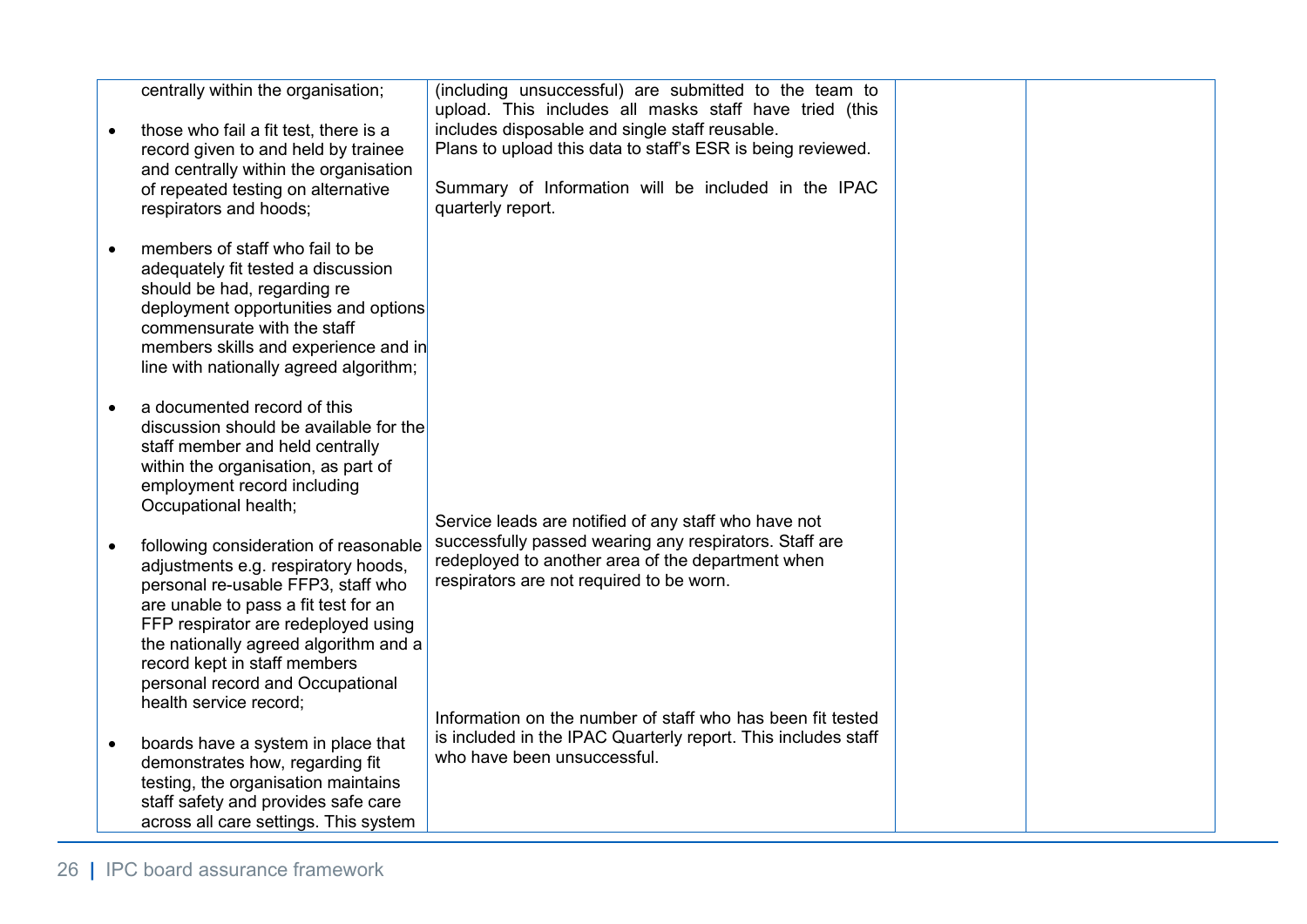| centrally within the organisation;<br>those who fail a fit test, there is a<br>record given to and held by trainee<br>and centrally within the organisation<br>of repeated testing on alternative<br>respirators and hoods;                                                                                                              | (including unsuccessful) are submitted to the team to<br>upload. This includes all masks staff have tried (this<br>includes disposable and single staff reusable.<br>Plans to upload this data to staff's ESR is being reviewed.<br>Summary of Information will be included in the IPAC<br>quarterly report. |  |
|------------------------------------------------------------------------------------------------------------------------------------------------------------------------------------------------------------------------------------------------------------------------------------------------------------------------------------------|--------------------------------------------------------------------------------------------------------------------------------------------------------------------------------------------------------------------------------------------------------------------------------------------------------------|--|
| members of staff who fail to be<br>adequately fit tested a discussion<br>should be had, regarding re<br>deployment opportunities and options<br>commensurate with the staff<br>members skills and experience and in<br>line with nationally agreed algorithm;                                                                            |                                                                                                                                                                                                                                                                                                              |  |
| a documented record of this<br>discussion should be available for the<br>staff member and held centrally<br>within the organisation, as part of<br>employment record including<br>Occupational health;                                                                                                                                   | Service leads are notified of any staff who have not                                                                                                                                                                                                                                                         |  |
| following consideration of reasonable<br>adjustments e.g. respiratory hoods,<br>personal re-usable FFP3, staff who<br>are unable to pass a fit test for an<br>FFP respirator are redeployed using<br>the nationally agreed algorithm and a<br>record kept in staff members<br>personal record and Occupational<br>health service record; | successfully passed wearing any respirators. Staff are<br>redeployed to another area of the department when<br>respirators are not required to be worn.                                                                                                                                                      |  |
| boards have a system in place that<br>demonstrates how, regarding fit<br>testing, the organisation maintains<br>staff safety and provides safe care<br>across all care settings. This system                                                                                                                                             | Information on the number of staff who has been fit tested<br>is included in the IPAC Quarterly report. This includes staff<br>who have been unsuccessful.                                                                                                                                                   |  |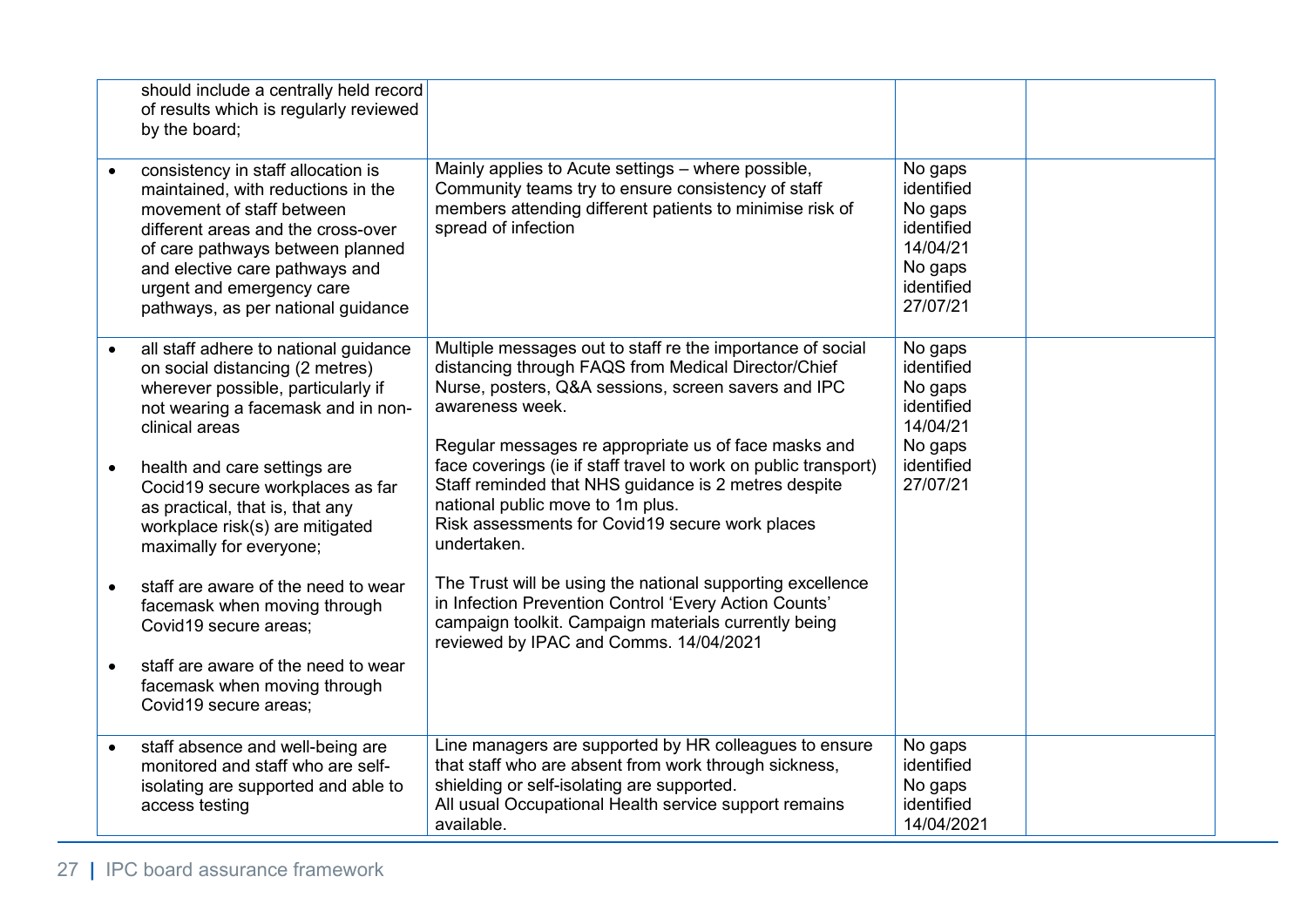|           | should include a centrally held record<br>of results which is regularly reviewed<br>by the board;                                                                                                                                                                                    |                                                                                                                                                                                                                                                     |                                                                                                 |  |
|-----------|--------------------------------------------------------------------------------------------------------------------------------------------------------------------------------------------------------------------------------------------------------------------------------------|-----------------------------------------------------------------------------------------------------------------------------------------------------------------------------------------------------------------------------------------------------|-------------------------------------------------------------------------------------------------|--|
| $\bullet$ | consistency in staff allocation is<br>maintained, with reductions in the<br>movement of staff between<br>different areas and the cross-over<br>of care pathways between planned<br>and elective care pathways and<br>urgent and emergency care<br>pathways, as per national guidance | Mainly applies to Acute settings – where possible,<br>Community teams try to ensure consistency of staff<br>members attending different patients to minimise risk of<br>spread of infection                                                         | No gaps<br>identified<br>No gaps<br>identified<br>14/04/21<br>No gaps<br>identified<br>27/07/21 |  |
| $\bullet$ | all staff adhere to national guidance<br>on social distancing (2 metres)<br>wherever possible, particularly if<br>not wearing a facemask and in non-<br>clinical areas                                                                                                               | Multiple messages out to staff re the importance of social<br>distancing through FAQS from Medical Director/Chief<br>Nurse, posters, Q&A sessions, screen savers and IPC<br>awareness week.<br>Regular messages re appropriate us of face masks and | No gaps<br>identified<br>No gaps<br>identified<br>14/04/21<br>No gaps                           |  |
| $\bullet$ | health and care settings are<br>Cocid19 secure workplaces as far<br>as practical, that is, that any<br>workplace risk(s) are mitigated<br>maximally for everyone;                                                                                                                    | face coverings (ie if staff travel to work on public transport)<br>Staff reminded that NHS guidance is 2 metres despite<br>national public move to 1m plus.<br>Risk assessments for Covid19 secure work places<br>undertaken.                       | identified<br>27/07/21                                                                          |  |
| $\bullet$ | staff are aware of the need to wear<br>facemask when moving through<br>Covid19 secure areas;                                                                                                                                                                                         | The Trust will be using the national supporting excellence<br>in Infection Prevention Control 'Every Action Counts'<br>campaign toolkit. Campaign materials currently being<br>reviewed by IPAC and Comms. 14/04/2021                               |                                                                                                 |  |
| $\bullet$ | staff are aware of the need to wear<br>facemask when moving through<br>Covid19 secure areas;                                                                                                                                                                                         |                                                                                                                                                                                                                                                     |                                                                                                 |  |
| $\bullet$ | staff absence and well-being are<br>monitored and staff who are self-<br>isolating are supported and able to<br>access testing                                                                                                                                                       | Line managers are supported by HR colleagues to ensure<br>that staff who are absent from work through sickness,<br>shielding or self-isolating are supported.<br>All usual Occupational Health service support remains<br>available.                | No gaps<br>identified<br>No gaps<br>identified<br>14/04/2021                                    |  |